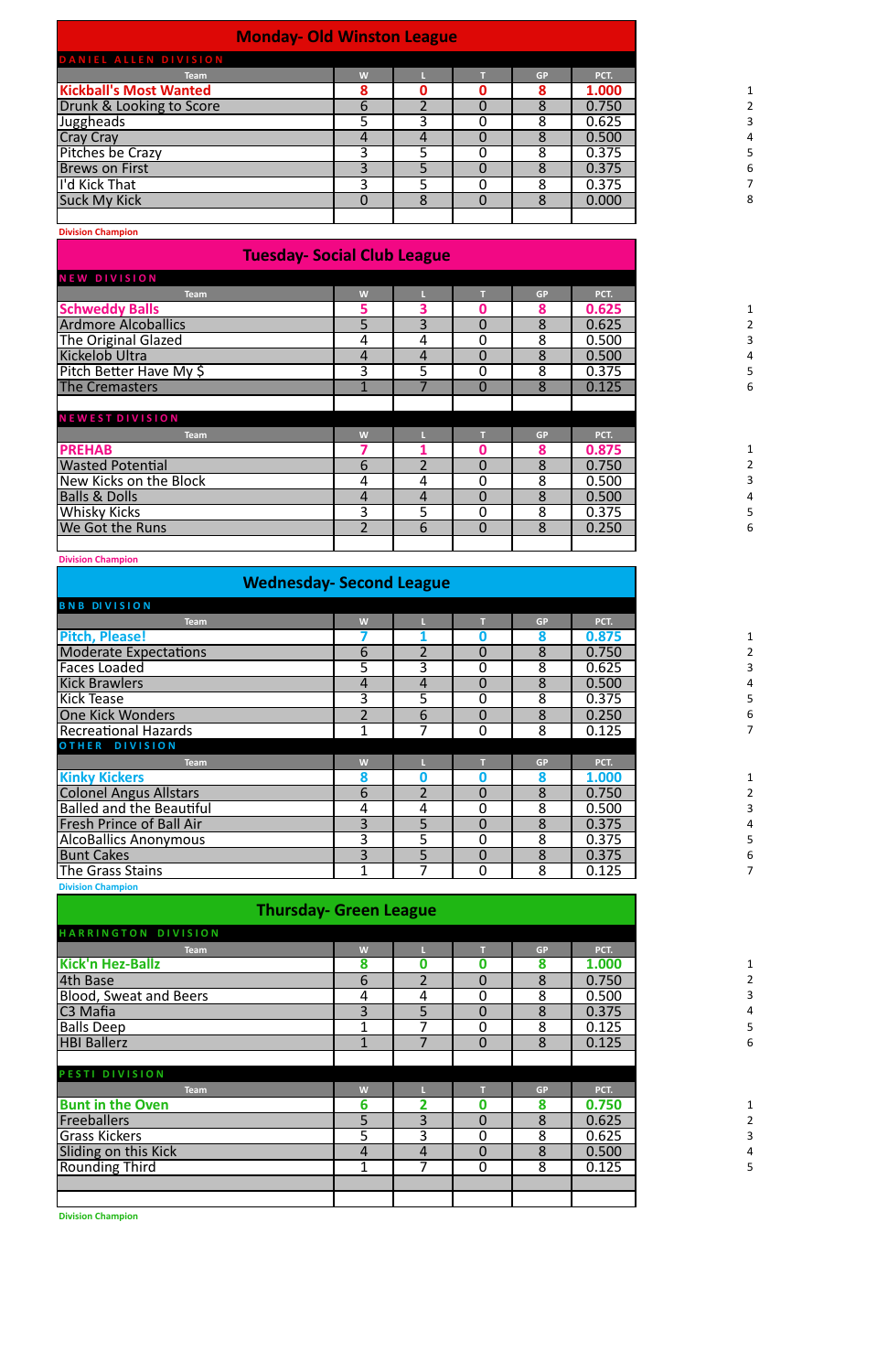| <b>Monday- Old Winston League</b> |   |   |           |       |
|-----------------------------------|---|---|-----------|-------|
| DANIEL ALLEN DIVISION             |   |   |           |       |
| <b>Team</b>                       | W |   | <b>GP</b> | PCT.  |
| <b>Kickball's Most Wanted</b>     | 8 |   | 8         | 1.000 |
| Drunk & Looking to Score          | b |   | 8         | 0.750 |
| Juggheads                         |   | ર | 8         | 0.625 |
| <b>Cray Cray</b>                  |   | 4 | 8         | 0.500 |
| <b>Pitches be Crazy</b>           |   |   | 8         | 0.375 |
| <b>Brews on First</b>             |   | 5 | 8         | 0.375 |
| I'd Kick That                     | ς |   | 8         | 0.375 |
| <b>Suck My Kick</b>               |   | 8 | 8         | 0.000 |
|                                   |   |   |           |       |

**Division Champion**

## **Tuesday- Social Club League**

| <b>NEW DIVISION</b>        |                |   |                |           |       |
|----------------------------|----------------|---|----------------|-----------|-------|
| <b>Team</b>                | W              |   |                | <b>GP</b> | PCT.  |
| <b>Schweddy Balls</b>      | 5              | 3 |                | 8         | 0.625 |
| <b>Ardmore Alcoballics</b> | 5              | 3 | $\Omega$       | 8         | 0.625 |
| The Original Glazed        | 4              | 4 | $\Omega$       | 8         | 0.500 |
| Kickelob Ultra             | 4              | 4 | $\Omega$       | 8         | 0.500 |
| Pitch Better Have My \$    | 3              | 5 | $\Omega$       | 8         | 0.375 |
| <b>The Cremasters</b>      |                |   | $\overline{0}$ | 8         | 0.125 |
|                            |                |   |                |           |       |
| <b>NEWEST DIVISION</b>     |                |   |                |           |       |
| <b>Team</b>                | W              |   |                | <b>GP</b> | PCT.  |
| <b>PREHAB</b>              |                |   |                | 8         | 0.875 |
| <b>Wasted Potential</b>    | 6              |   | $\overline{0}$ | 8         | 0.750 |
| New Kicks on the Block     | 4              | 4 | $\Omega$       | 8         | 0.500 |
| <b>Balls &amp; Dolls</b>   | 4              | 4 | $\Omega$       | 8         | 0.500 |
| Whisky Kicks               | 3              | 5 | 0              | 8         | 0.375 |
| We Got the Runs            | $\overline{2}$ | 6 | $\overline{0}$ | 8         | 0.250 |
|                            |                |   |                |           |       |

#### **Division Champion**

## **Wednesday- Second League**

| <b>BNB DIVISION</b>                                                |                |                |                |           |       |
|--------------------------------------------------------------------|----------------|----------------|----------------|-----------|-------|
| <b>Team</b>                                                        | W              |                |                | <b>GP</b> | PCT.  |
| <b>Pitch, Please!</b>                                              |                |                |                | 8         | 0.875 |
| <b>Moderate Expectations</b>                                       | 6              | $\overline{2}$ | $\overline{0}$ | 8         | 0.750 |
| <b>Faces Loaded</b>                                                | 5              | 3              | 0              | 8         | 0.625 |
| <b>Kick Brawlers</b>                                               | 4              | 4              | $\overline{0}$ | 8         | 0.500 |
| <b>Kick Tease</b>                                                  | 3              | 5              | 0              | 8         | 0.375 |
| <b>One Kick Wonders</b>                                            |                | 6              | $\overline{0}$ | 8         | 0.250 |
| <b>Recreational Hazards</b>                                        |                | 7              | $\overline{0}$ | 8         | 0.125 |
| OTHER DIVISION                                                     |                |                |                |           |       |
| <b>Team</b>                                                        | W              |                |                | <b>GP</b> | PCT.  |
| <b>Kinky Kickers</b>                                               | 8              | Ⴖ              |                | 8         | 1.000 |
| <b>Colonel Angus Allstars</b>                                      | 6              | $\overline{2}$ | $\Omega$       | 8         | 0.750 |
|                                                                    |                |                |                |           |       |
|                                                                    | 4              | 4              | 0              | 8         | 0.500 |
| <b>Balled and the Beautiful</b><br><b>Fresh Prince of Ball Air</b> | $\overline{3}$ | 5              | $\Omega$       | 8         | 0.375 |
|                                                                    | 3              | 5              | 0              | 8         | 0.375 |
| <b>AlcoBallics Anonymous</b><br><b>Bunt Cakes</b>                  | 3              | 5              | $\overline{0}$ | 8         | 0.375 |
| The Grass Stains                                                   | 1              | 7              | $\mathbf 0$    | 8         | 0.125 |

**Thursday- Green League** 

| HARRINGTON DIVISION           |   |   |                |           |       |
|-------------------------------|---|---|----------------|-----------|-------|
| <b>Team</b>                   | W |   |                | <b>GP</b> | PCT.  |
| <b>Kick'n Hez-Ballz</b>       | 8 | Ω |                | 8         | 1.000 |
| 4th Base                      | 6 |   | $\overline{0}$ | 8         | 0.750 |
| <b>Blood, Sweat and Beers</b> | 4 | 4 | 0              | 8         | 0.500 |
| C3 Mafia                      | 3 | 5 | $\overline{0}$ | 8         | 0.375 |
| <b>Balls Deep</b>             |   |   | 0              | 8         | 0.125 |
| <b>HBI Ballerz</b>            |   |   | $\Omega$       | 8         | 0.125 |
|                               |   |   |                |           |       |
| PESTI DIVISION                |   |   |                |           |       |
| <b>Team</b>                   | W |   |                | <b>GP</b> | PCT.  |
| <b>Bunt in the Oven</b>       | 6 |   |                | 8         | 0.750 |
| <b>Freeballers</b>            | 5 | 3 | $\Omega$       | 8         | 0.625 |
| <b>Grass Kickers</b>          | 5 | 3 | 0              | 8         | 0.625 |
| Sliding on this Kick          | 4 | 4 | $\overline{0}$ | 8         | 0.500 |
| Rounding Third                |   |   | 0              | 8         | 0.125 |
|                               |   |   |                |           |       |
|                               |   |   |                |           |       |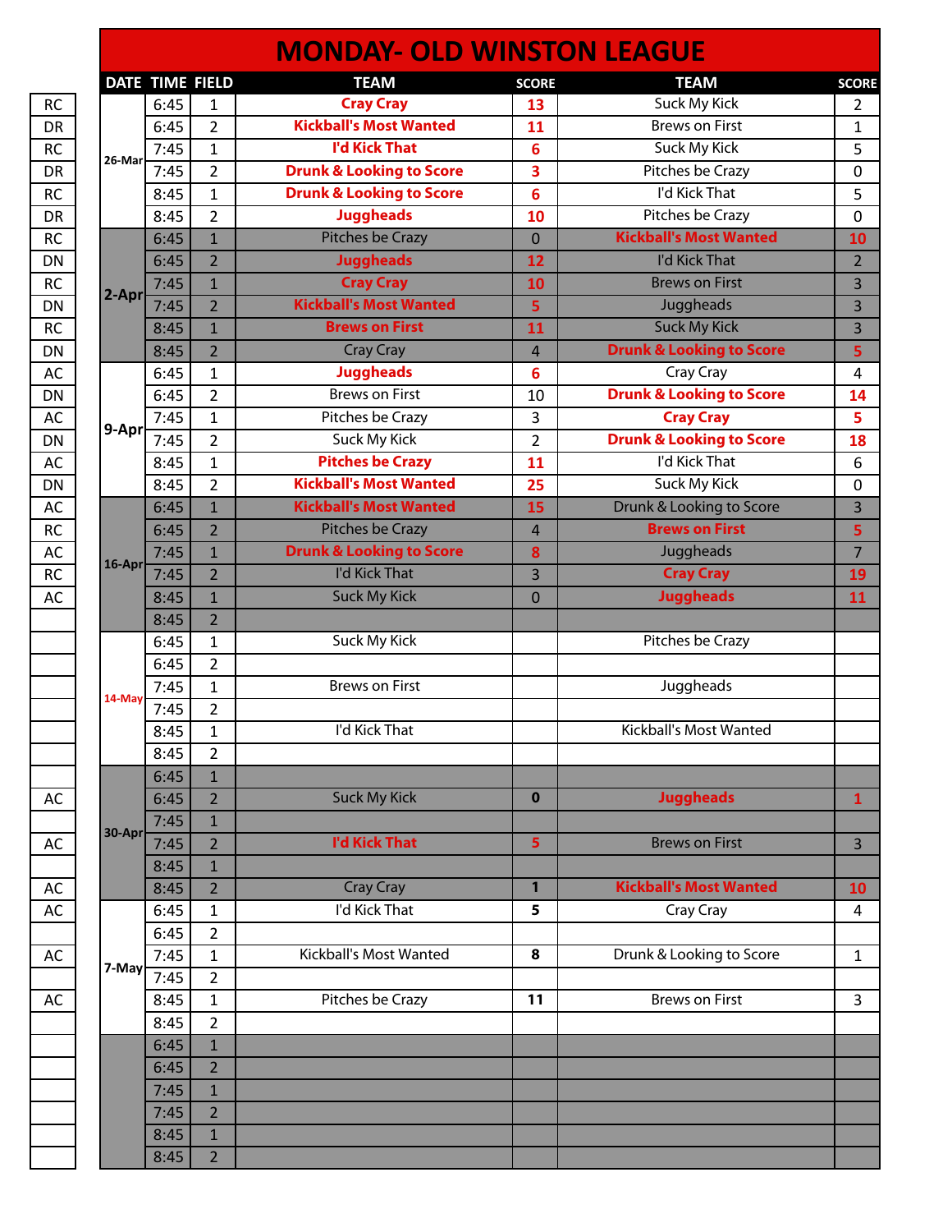| DATE TIME FIELD<br>6:45<br>6:45<br>7:45<br>7:45<br>8:45<br>8:45<br>6:45<br>6:45<br>7:45<br>7:45<br>8:45<br>8:45<br>6:45<br>6:45<br>7:45<br>7:45<br>8:45<br>8:45<br>6:45<br>6:45<br>7:45<br>7:45<br>8:45 | $\mathbf{1}$<br>$\overline{2}$<br>1<br>$\overline{2}$<br>1<br>$\overline{2}$<br>$\overline{1}$<br>$\overline{2}$<br>$\mathbf{1}$<br>$\overline{2}$<br>$\mathbf{1}$<br>$\overline{2}$<br>1<br>$\overline{2}$<br>1<br>$\overline{2}$<br>$\mathbf{1}$<br>$\overline{2}$<br>$\overline{1}$<br>$\overline{2}$<br>$\mathbf{1}$<br>$\overline{2}$ | <b>TEAM</b><br><b>Cray Cray</b><br><b>Kickball's Most Wanted</b><br><b>I'd Kick That</b><br><b>Drunk &amp; Looking to Score</b><br><b>Drunk &amp; Looking to Score</b><br><b>Juggheads</b><br>Pitches be Crazy<br><b>Juggheads</b><br><b>Cray Cray</b><br><b>Kickball's Most Wanted</b><br><b>Brews on First</b><br>Cray Cray<br><b>Juggheads</b><br><b>Brews on First</b><br>Pitches be Crazy<br>Suck My Kick<br><b>Pitches be Crazy</b><br><b>Kickball's Most Wanted</b><br><b>Kickball's Most Wanted</b><br><b>Pitches be Crazy</b><br><b>Drunk &amp; Looking to Score</b> | <b>SCORE</b><br>13<br>11<br>6<br>3<br>6<br>10<br>$\overline{0}$<br>12<br>10<br>5<br>11<br>4<br>6<br>10<br>3<br>$\overline{2}$<br>11<br>25<br>15<br>4 | <b>TEAM</b><br>Suck My Kick<br><b>Brews on First</b><br>Suck My Kick<br>Pitches be Crazy<br>I'd Kick That<br>Pitches be Crazy<br><b>Kickball's Most Wanted</b><br>I'd Kick That<br><b>Brews on First</b><br>Juggheads<br><b>Suck My Kick</b><br><b>Drunk &amp; Looking to Score</b><br>Cray Cray<br><b>Drunk &amp; Looking to Score</b><br><b>Cray Cray</b><br><b>Drunk &amp; Looking to Score</b><br>I'd Kick That<br>Suck My Kick<br>Drunk & Looking to Score<br><b>Brews on First</b> | <b>SCORE</b><br>$\overline{2}$<br>1<br>5<br>$\mathbf 0$<br>5<br>$\mathbf 0$<br>10<br>$\overline{2}$<br>3<br>3<br>$\overline{3}$<br>5<br>4<br>14<br>5<br>18<br>6<br>0<br>3 |
|---------------------------------------------------------------------------------------------------------------------------------------------------------------------------------------------------------|--------------------------------------------------------------------------------------------------------------------------------------------------------------------------------------------------------------------------------------------------------------------------------------------------------------------------------------------|-------------------------------------------------------------------------------------------------------------------------------------------------------------------------------------------------------------------------------------------------------------------------------------------------------------------------------------------------------------------------------------------------------------------------------------------------------------------------------------------------------------------------------------------------------------------------------|------------------------------------------------------------------------------------------------------------------------------------------------------|------------------------------------------------------------------------------------------------------------------------------------------------------------------------------------------------------------------------------------------------------------------------------------------------------------------------------------------------------------------------------------------------------------------------------------------------------------------------------------------|---------------------------------------------------------------------------------------------------------------------------------------------------------------------------|
|                                                                                                                                                                                                         |                                                                                                                                                                                                                                                                                                                                            |                                                                                                                                                                                                                                                                                                                                                                                                                                                                                                                                                                               |                                                                                                                                                      |                                                                                                                                                                                                                                                                                                                                                                                                                                                                                          |                                                                                                                                                                           |
|                                                                                                                                                                                                         |                                                                                                                                                                                                                                                                                                                                            |                                                                                                                                                                                                                                                                                                                                                                                                                                                                                                                                                                               |                                                                                                                                                      |                                                                                                                                                                                                                                                                                                                                                                                                                                                                                          |                                                                                                                                                                           |
|                                                                                                                                                                                                         |                                                                                                                                                                                                                                                                                                                                            |                                                                                                                                                                                                                                                                                                                                                                                                                                                                                                                                                                               |                                                                                                                                                      |                                                                                                                                                                                                                                                                                                                                                                                                                                                                                          |                                                                                                                                                                           |
|                                                                                                                                                                                                         |                                                                                                                                                                                                                                                                                                                                            |                                                                                                                                                                                                                                                                                                                                                                                                                                                                                                                                                                               |                                                                                                                                                      |                                                                                                                                                                                                                                                                                                                                                                                                                                                                                          |                                                                                                                                                                           |
|                                                                                                                                                                                                         |                                                                                                                                                                                                                                                                                                                                            |                                                                                                                                                                                                                                                                                                                                                                                                                                                                                                                                                                               |                                                                                                                                                      |                                                                                                                                                                                                                                                                                                                                                                                                                                                                                          |                                                                                                                                                                           |
|                                                                                                                                                                                                         |                                                                                                                                                                                                                                                                                                                                            |                                                                                                                                                                                                                                                                                                                                                                                                                                                                                                                                                                               |                                                                                                                                                      |                                                                                                                                                                                                                                                                                                                                                                                                                                                                                          |                                                                                                                                                                           |
|                                                                                                                                                                                                         |                                                                                                                                                                                                                                                                                                                                            |                                                                                                                                                                                                                                                                                                                                                                                                                                                                                                                                                                               |                                                                                                                                                      |                                                                                                                                                                                                                                                                                                                                                                                                                                                                                          |                                                                                                                                                                           |
|                                                                                                                                                                                                         |                                                                                                                                                                                                                                                                                                                                            |                                                                                                                                                                                                                                                                                                                                                                                                                                                                                                                                                                               |                                                                                                                                                      |                                                                                                                                                                                                                                                                                                                                                                                                                                                                                          |                                                                                                                                                                           |
|                                                                                                                                                                                                         |                                                                                                                                                                                                                                                                                                                                            |                                                                                                                                                                                                                                                                                                                                                                                                                                                                                                                                                                               |                                                                                                                                                      |                                                                                                                                                                                                                                                                                                                                                                                                                                                                                          |                                                                                                                                                                           |
|                                                                                                                                                                                                         |                                                                                                                                                                                                                                                                                                                                            |                                                                                                                                                                                                                                                                                                                                                                                                                                                                                                                                                                               |                                                                                                                                                      |                                                                                                                                                                                                                                                                                                                                                                                                                                                                                          |                                                                                                                                                                           |
|                                                                                                                                                                                                         |                                                                                                                                                                                                                                                                                                                                            |                                                                                                                                                                                                                                                                                                                                                                                                                                                                                                                                                                               |                                                                                                                                                      |                                                                                                                                                                                                                                                                                                                                                                                                                                                                                          |                                                                                                                                                                           |
|                                                                                                                                                                                                         |                                                                                                                                                                                                                                                                                                                                            |                                                                                                                                                                                                                                                                                                                                                                                                                                                                                                                                                                               |                                                                                                                                                      |                                                                                                                                                                                                                                                                                                                                                                                                                                                                                          |                                                                                                                                                                           |
|                                                                                                                                                                                                         |                                                                                                                                                                                                                                                                                                                                            |                                                                                                                                                                                                                                                                                                                                                                                                                                                                                                                                                                               |                                                                                                                                                      |                                                                                                                                                                                                                                                                                                                                                                                                                                                                                          |                                                                                                                                                                           |
|                                                                                                                                                                                                         |                                                                                                                                                                                                                                                                                                                                            |                                                                                                                                                                                                                                                                                                                                                                                                                                                                                                                                                                               |                                                                                                                                                      |                                                                                                                                                                                                                                                                                                                                                                                                                                                                                          |                                                                                                                                                                           |
|                                                                                                                                                                                                         |                                                                                                                                                                                                                                                                                                                                            |                                                                                                                                                                                                                                                                                                                                                                                                                                                                                                                                                                               |                                                                                                                                                      |                                                                                                                                                                                                                                                                                                                                                                                                                                                                                          |                                                                                                                                                                           |
|                                                                                                                                                                                                         |                                                                                                                                                                                                                                                                                                                                            |                                                                                                                                                                                                                                                                                                                                                                                                                                                                                                                                                                               |                                                                                                                                                      |                                                                                                                                                                                                                                                                                                                                                                                                                                                                                          |                                                                                                                                                                           |
|                                                                                                                                                                                                         |                                                                                                                                                                                                                                                                                                                                            |                                                                                                                                                                                                                                                                                                                                                                                                                                                                                                                                                                               |                                                                                                                                                      |                                                                                                                                                                                                                                                                                                                                                                                                                                                                                          |                                                                                                                                                                           |
|                                                                                                                                                                                                         |                                                                                                                                                                                                                                                                                                                                            |                                                                                                                                                                                                                                                                                                                                                                                                                                                                                                                                                                               |                                                                                                                                                      |                                                                                                                                                                                                                                                                                                                                                                                                                                                                                          |                                                                                                                                                                           |
|                                                                                                                                                                                                         |                                                                                                                                                                                                                                                                                                                                            |                                                                                                                                                                                                                                                                                                                                                                                                                                                                                                                                                                               |                                                                                                                                                      |                                                                                                                                                                                                                                                                                                                                                                                                                                                                                          |                                                                                                                                                                           |
|                                                                                                                                                                                                         |                                                                                                                                                                                                                                                                                                                                            |                                                                                                                                                                                                                                                                                                                                                                                                                                                                                                                                                                               |                                                                                                                                                      |                                                                                                                                                                                                                                                                                                                                                                                                                                                                                          |                                                                                                                                                                           |
|                                                                                                                                                                                                         |                                                                                                                                                                                                                                                                                                                                            |                                                                                                                                                                                                                                                                                                                                                                                                                                                                                                                                                                               |                                                                                                                                                      |                                                                                                                                                                                                                                                                                                                                                                                                                                                                                          | 5                                                                                                                                                                         |
|                                                                                                                                                                                                         |                                                                                                                                                                                                                                                                                                                                            |                                                                                                                                                                                                                                                                                                                                                                                                                                                                                                                                                                               | 8                                                                                                                                                    | Juggheads                                                                                                                                                                                                                                                                                                                                                                                                                                                                                | $\overline{7}$                                                                                                                                                            |
|                                                                                                                                                                                                         |                                                                                                                                                                                                                                                                                                                                            | I'd Kick That                                                                                                                                                                                                                                                                                                                                                                                                                                                                                                                                                                 | 3                                                                                                                                                    | <b>Cray Cray</b>                                                                                                                                                                                                                                                                                                                                                                                                                                                                         | 19                                                                                                                                                                        |
|                                                                                                                                                                                                         | $\mathbf{1}$                                                                                                                                                                                                                                                                                                                               | <b>Suck My Kick</b>                                                                                                                                                                                                                                                                                                                                                                                                                                                                                                                                                           | $\overline{0}$                                                                                                                                       | <b>Juggheads</b>                                                                                                                                                                                                                                                                                                                                                                                                                                                                         | 11                                                                                                                                                                        |
| 8:45                                                                                                                                                                                                    | $\overline{2}$                                                                                                                                                                                                                                                                                                                             |                                                                                                                                                                                                                                                                                                                                                                                                                                                                                                                                                                               |                                                                                                                                                      |                                                                                                                                                                                                                                                                                                                                                                                                                                                                                          |                                                                                                                                                                           |
| 6:45                                                                                                                                                                                                    | 1                                                                                                                                                                                                                                                                                                                                          | Suck My Kick                                                                                                                                                                                                                                                                                                                                                                                                                                                                                                                                                                  |                                                                                                                                                      | Pitches be Crazy                                                                                                                                                                                                                                                                                                                                                                                                                                                                         |                                                                                                                                                                           |
|                                                                                                                                                                                                         |                                                                                                                                                                                                                                                                                                                                            |                                                                                                                                                                                                                                                                                                                                                                                                                                                                                                                                                                               |                                                                                                                                                      |                                                                                                                                                                                                                                                                                                                                                                                                                                                                                          |                                                                                                                                                                           |
|                                                                                                                                                                                                         |                                                                                                                                                                                                                                                                                                                                            |                                                                                                                                                                                                                                                                                                                                                                                                                                                                                                                                                                               |                                                                                                                                                      |                                                                                                                                                                                                                                                                                                                                                                                                                                                                                          |                                                                                                                                                                           |
|                                                                                                                                                                                                         |                                                                                                                                                                                                                                                                                                                                            |                                                                                                                                                                                                                                                                                                                                                                                                                                                                                                                                                                               |                                                                                                                                                      |                                                                                                                                                                                                                                                                                                                                                                                                                                                                                          |                                                                                                                                                                           |
|                                                                                                                                                                                                         |                                                                                                                                                                                                                                                                                                                                            |                                                                                                                                                                                                                                                                                                                                                                                                                                                                                                                                                                               |                                                                                                                                                      |                                                                                                                                                                                                                                                                                                                                                                                                                                                                                          |                                                                                                                                                                           |
|                                                                                                                                                                                                         |                                                                                                                                                                                                                                                                                                                                            |                                                                                                                                                                                                                                                                                                                                                                                                                                                                                                                                                                               |                                                                                                                                                      |                                                                                                                                                                                                                                                                                                                                                                                                                                                                                          |                                                                                                                                                                           |
|                                                                                                                                                                                                         |                                                                                                                                                                                                                                                                                                                                            |                                                                                                                                                                                                                                                                                                                                                                                                                                                                                                                                                                               |                                                                                                                                                      |                                                                                                                                                                                                                                                                                                                                                                                                                                                                                          |                                                                                                                                                                           |
|                                                                                                                                                                                                         |                                                                                                                                                                                                                                                                                                                                            |                                                                                                                                                                                                                                                                                                                                                                                                                                                                                                                                                                               |                                                                                                                                                      |                                                                                                                                                                                                                                                                                                                                                                                                                                                                                          |                                                                                                                                                                           |
|                                                                                                                                                                                                         |                                                                                                                                                                                                                                                                                                                                            |                                                                                                                                                                                                                                                                                                                                                                                                                                                                                                                                                                               |                                                                                                                                                      |                                                                                                                                                                                                                                                                                                                                                                                                                                                                                          | 1                                                                                                                                                                         |
| 7:45                                                                                                                                                                                                    | $\mathbf{1}$                                                                                                                                                                                                                                                                                                                               |                                                                                                                                                                                                                                                                                                                                                                                                                                                                                                                                                                               |                                                                                                                                                      |                                                                                                                                                                                                                                                                                                                                                                                                                                                                                          |                                                                                                                                                                           |
| 7:45                                                                                                                                                                                                    | $\overline{2}$                                                                                                                                                                                                                                                                                                                             |                                                                                                                                                                                                                                                                                                                                                                                                                                                                                                                                                                               | 5                                                                                                                                                    |                                                                                                                                                                                                                                                                                                                                                                                                                                                                                          | $\overline{3}$                                                                                                                                                            |
| 8:45                                                                                                                                                                                                    | $\mathbf{1}$                                                                                                                                                                                                                                                                                                                               |                                                                                                                                                                                                                                                                                                                                                                                                                                                                                                                                                                               |                                                                                                                                                      |                                                                                                                                                                                                                                                                                                                                                                                                                                                                                          |                                                                                                                                                                           |
| 8:45                                                                                                                                                                                                    | $\overline{2}$                                                                                                                                                                                                                                                                                                                             | Cray Cray                                                                                                                                                                                                                                                                                                                                                                                                                                                                                                                                                                     | $\mathbf{1}$                                                                                                                                         | <b>Kickball's Most Wanted</b>                                                                                                                                                                                                                                                                                                                                                                                                                                                            | <b>10</b>                                                                                                                                                                 |
| 6:45                                                                                                                                                                                                    | 1                                                                                                                                                                                                                                                                                                                                          | I'd Kick That                                                                                                                                                                                                                                                                                                                                                                                                                                                                                                                                                                 | 5                                                                                                                                                    | Cray Cray                                                                                                                                                                                                                                                                                                                                                                                                                                                                                | $\overline{4}$                                                                                                                                                            |
| 6:45                                                                                                                                                                                                    | $\overline{2}$                                                                                                                                                                                                                                                                                                                             |                                                                                                                                                                                                                                                                                                                                                                                                                                                                                                                                                                               |                                                                                                                                                      |                                                                                                                                                                                                                                                                                                                                                                                                                                                                                          |                                                                                                                                                                           |
| 7:45                                                                                                                                                                                                    | $\mathbf{1}$                                                                                                                                                                                                                                                                                                                               | Kickball's Most Wanted                                                                                                                                                                                                                                                                                                                                                                                                                                                                                                                                                        | 8                                                                                                                                                    | Drunk & Looking to Score                                                                                                                                                                                                                                                                                                                                                                                                                                                                 | $\mathbf{1}$                                                                                                                                                              |
| 7:45                                                                                                                                                                                                    | $\overline{2}$                                                                                                                                                                                                                                                                                                                             |                                                                                                                                                                                                                                                                                                                                                                                                                                                                                                                                                                               |                                                                                                                                                      |                                                                                                                                                                                                                                                                                                                                                                                                                                                                                          |                                                                                                                                                                           |
| 8:45                                                                                                                                                                                                    | 1                                                                                                                                                                                                                                                                                                                                          | Pitches be Crazy                                                                                                                                                                                                                                                                                                                                                                                                                                                                                                                                                              | 11                                                                                                                                                   | <b>Brews on First</b>                                                                                                                                                                                                                                                                                                                                                                                                                                                                    | 3                                                                                                                                                                         |
|                                                                                                                                                                                                         |                                                                                                                                                                                                                                                                                                                                            |                                                                                                                                                                                                                                                                                                                                                                                                                                                                                                                                                                               |                                                                                                                                                      |                                                                                                                                                                                                                                                                                                                                                                                                                                                                                          |                                                                                                                                                                           |
|                                                                                                                                                                                                         |                                                                                                                                                                                                                                                                                                                                            |                                                                                                                                                                                                                                                                                                                                                                                                                                                                                                                                                                               |                                                                                                                                                      |                                                                                                                                                                                                                                                                                                                                                                                                                                                                                          |                                                                                                                                                                           |
|                                                                                                                                                                                                         |                                                                                                                                                                                                                                                                                                                                            |                                                                                                                                                                                                                                                                                                                                                                                                                                                                                                                                                                               |                                                                                                                                                      |                                                                                                                                                                                                                                                                                                                                                                                                                                                                                          |                                                                                                                                                                           |
|                                                                                                                                                                                                         |                                                                                                                                                                                                                                                                                                                                            |                                                                                                                                                                                                                                                                                                                                                                                                                                                                                                                                                                               |                                                                                                                                                      |                                                                                                                                                                                                                                                                                                                                                                                                                                                                                          |                                                                                                                                                                           |
|                                                                                                                                                                                                         |                                                                                                                                                                                                                                                                                                                                            |                                                                                                                                                                                                                                                                                                                                                                                                                                                                                                                                                                               |                                                                                                                                                      |                                                                                                                                                                                                                                                                                                                                                                                                                                                                                          |                                                                                                                                                                           |
|                                                                                                                                                                                                         |                                                                                                                                                                                                                                                                                                                                            |                                                                                                                                                                                                                                                                                                                                                                                                                                                                                                                                                                               |                                                                                                                                                      |                                                                                                                                                                                                                                                                                                                                                                                                                                                                                          |                                                                                                                                                                           |
| 8:45                                                                                                                                                                                                    | $\mathbf{1}$                                                                                                                                                                                                                                                                                                                               |                                                                                                                                                                                                                                                                                                                                                                                                                                                                                                                                                                               |                                                                                                                                                      |                                                                                                                                                                                                                                                                                                                                                                                                                                                                                          |                                                                                                                                                                           |
|                                                                                                                                                                                                         | 6:45<br>7:45<br>7:45<br>8:45<br>8:45<br>6:45<br>6:45<br>8:45<br>6:45<br>6:45<br>7:45<br>7:45                                                                                                                                                                                                                                               | $\overline{2}$<br>$\mathbf{1}$<br>$\overline{2}$<br>1<br>$\overline{2}$<br>$\mathbf{1}$<br>$\overline{2}$<br>$\overline{2}$<br>$\mathbf{1}$<br>$\overline{2}$<br>$\mathbf{1}$                                                                                                                                                                                                                                                                                                                                                                                                 | <b>Brews on First</b><br>I'd Kick That<br><b>Suck My Kick</b><br><b>I'd Kick That</b><br>$\overline{2}$                                              | $\bf{0}$                                                                                                                                                                                                                                                                                                                                                                                                                                                                                 | Juggheads<br>Kickball's Most Wanted<br><b>Juggheads</b><br><b>Brews on First</b>                                                                                          |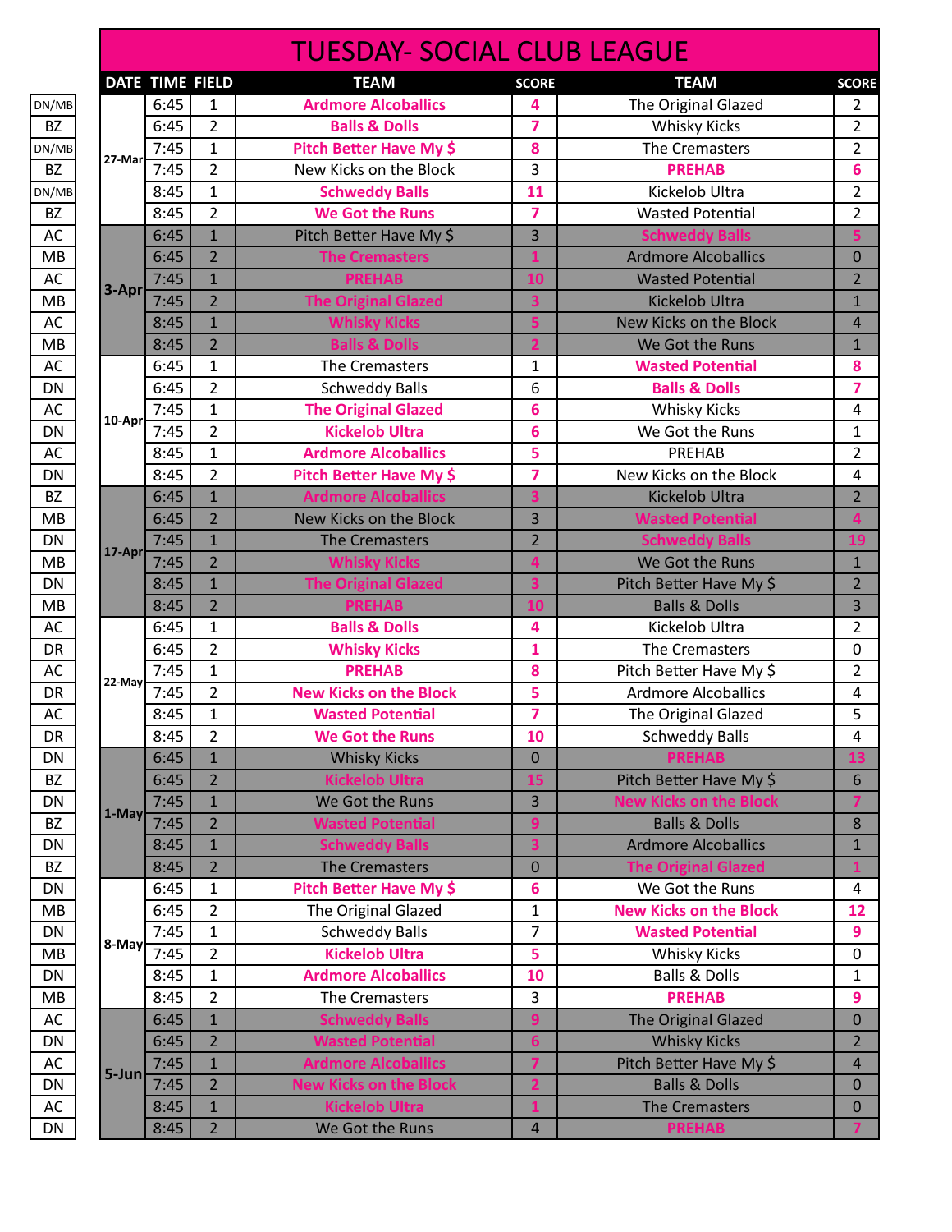|                        |           |                 |                | <b>TUESDAY- SOCIAL CLUB LEAGUE</b> |                |                               |                              |
|------------------------|-----------|-----------------|----------------|------------------------------------|----------------|-------------------------------|------------------------------|
|                        |           | DATE TIME FIELD |                | <b>TEAM</b>                        | <b>SCORE</b>   | <b>TEAM</b>                   | <b>SCORE</b>                 |
| DN/MB                  |           | 6:45            | 1              | <b>Ardmore Alcoballics</b>         | 4              | The Original Glazed           | $\overline{2}$               |
| BZ                     |           | 6:45            | $\overline{2}$ | <b>Balls &amp; Dolls</b>           | $\overline{z}$ | <b>Whisky Kicks</b>           | 2                            |
| DN/MB                  | 27-Mar    | 7:45            | $\mathbf{1}$   | Pitch Better Have My \$            | 8              | The Cremasters                | 2                            |
| <b>BZ</b>              |           | 7:45            | $\overline{2}$ | New Kicks on the Block             | 3              | <b>PREHAB</b>                 | 6                            |
| DN/MB                  |           | 8:45            | $\mathbf{1}$   | <b>Schweddy Balls</b>              | 11             | Kickelob Ultra                | 2                            |
| <b>BZ</b>              |           | 8:45            | $\overline{2}$ | <b>We Got the Runs</b>             | 7              | <b>Wasted Potential</b>       | $\overline{2}$               |
| AC                     |           | 6:45            | $\mathbf{1}$   | Pitch Better Have My \$            | 3              | <b>Schweddy Balls</b>         | 5                            |
| <b>MB</b>              |           | 6:45            | $\overline{2}$ | <b>The Cremasters</b>              | $\mathbf{1}$   | <b>Ardmore Alcoballics</b>    | $\mathbf 0$                  |
| AC                     |           | 7:45            | $\mathbf{1}$   | <b>PREHAB</b>                      | 10             | <b>Wasted Potential</b>       | $\overline{2}$               |
| MB                     | $3 - Apr$ | 7:45            | $\overline{2}$ | <b>The Original Glazed</b>         | 3              | <b>Kickelob Ultra</b>         | $\mathbf{1}$                 |
| AC                     |           | 8:45            | $\overline{1}$ | <b>Whisky Kicks</b>                | 5              | New Kicks on the Block        | $\overline{4}$               |
| MB                     |           | 8:45            | $\overline{2}$ | <b>Balls &amp; Dolls</b>           | $\overline{2}$ | We Got the Runs               | $\mathbf{1}$                 |
| AC                     |           | 6:45            | $\mathbf{1}$   | The Cremasters                     | 1              | <b>Wasted Potential</b>       | 8                            |
| DN                     |           | 6:45            | $\overline{2}$ | <b>Schweddy Balls</b>              | 6              | <b>Balls &amp; Dolls</b>      | 7                            |
| AC                     |           | 7:45            | $\mathbf{1}$   | <b>The Original Glazed</b>         | 6              | <b>Whisky Kicks</b>           | 4                            |
| DN                     | $10-Apr$  | 7:45            | $\overline{2}$ | <b>Kickelob Ultra</b>              | 6              | We Got the Runs               | 1                            |
| AC                     |           | 8:45            | $\mathbf{1}$   | <b>Ardmore Alcoballics</b>         | 5              | PREHAB                        | 2                            |
| DN                     |           | 8:45            | $\overline{2}$ | Pitch Better Have My \$            | $\overline{7}$ | New Kicks on the Block        | 4                            |
| <b>BZ</b>              |           | 6:45            | $\mathbf{1}$   | <b>Ardmore Alcoballics</b>         | 3              | Kickelob Ultra                | $\overline{2}$               |
| MB                     |           | 6:45            | $\overline{2}$ | New Kicks on the Block             | 3              | <b>Wasted Potential</b>       | 4                            |
| DN                     |           | 7:45            | $\mathbf{1}$   | <b>The Cremasters</b>              | $\overline{2}$ | <b>Schweddy Balls</b>         | 19                           |
| MB                     | $17-Apr$  | 7:45            | $\overline{2}$ | <b>Whisky Kicks</b>                | 4              | We Got the Runs               | $\mathbf{1}$                 |
| DN                     |           | 8:45            | $\mathbf{1}$   | <b>The Original Glazed</b>         | 3              | Pitch Better Have My \$       | $\overline{2}$               |
| MB                     |           | 8:45            | $\overline{2}$ | <b>PREHAB</b>                      | 10             | <b>Balls &amp; Dolls</b>      | 3                            |
| AC                     |           | 6:45            | 1              | <b>Balls &amp; Dolls</b>           | 4              | Kickelob Ultra                | $\overline{2}$               |
| DR                     |           | 6:45            | $\overline{2}$ | <b>Whisky Kicks</b>                | 1              | The Cremasters                | $\mathbf 0$                  |
| AC                     |           | 7:45            | $\mathbf{1}$   | <b>PREHAB</b>                      | 8              | Pitch Better Have My \$       | 2                            |
| <b>DR</b>              | 22-May    | 7:45            | $\overline{2}$ | <b>New Kicks on the Block</b>      | 5              | <b>Ardmore Alcoballics</b>    | 4                            |
| AC                     |           | 8:45            | $\mathbf{1}$   | <b>Wasted Potential</b>            | $\overline{7}$ | The Original Glazed           | 5                            |
| DR                     |           | 8:45            | 2              | <b>We Got the Runs</b>             | 10             | <b>Schweddy Balls</b>         | 4                            |
| <b>DN</b>              |           | 6:45            | $\mathbf{1}$   | <b>Whisky Kicks</b>                | $\overline{0}$ | <b>PREHAB</b>                 | 13                           |
| BZ                     |           | 6:45            | $\overline{2}$ | <b>Kickelob Ultra</b>              | 15             | Pitch Better Have My \$       | 6                            |
| <b>DN</b>              |           | 7:45            | $\mathbf{1}$   | We Got the Runs                    | 3              | <b>New Kicks on the Block</b> | 7                            |
| <b>BZ</b>              | $1-May$   | 7:45            | $\overline{2}$ | <b>Wasted Potential</b>            | 9              | <b>Balls &amp; Dolls</b>      | 8                            |
|                        |           |                 | $\mathbf{1}$   |                                    | 3              | <b>Ardmore Alcoballics</b>    |                              |
| <b>DN</b><br><b>BZ</b> |           | 8:45            | $\overline{2}$ | <b>Schweddy Balls</b>              |                |                               | $\mathbf{1}$<br>$\mathbf{1}$ |
|                        |           | 8:45            |                | <b>The Cremasters</b>              | $\mathbf{0}$   | <b>The Original Glazed</b>    |                              |
| <b>DN</b>              |           | 6:45            | 1              | Pitch Better Have My \$            | 6              | We Got the Runs               | 4                            |
| MВ                     |           | 6:45            | $\overline{2}$ | The Original Glazed                | $\mathbf{1}$   | <b>New Kicks on the Block</b> | 12                           |
| <b>DN</b>              | 8-May     | 7:45            | 1              | <b>Schweddy Balls</b>              | $\overline{7}$ | <b>Wasted Potential</b>       | 9                            |
| MB                     |           | 7:45            | $\overline{2}$ | <b>Kickelob Ultra</b>              | 5              | <b>Whisky Kicks</b>           | 0                            |
| <b>DN</b>              |           | 8:45            | $\mathbf{1}$   | <b>Ardmore Alcoballics</b>         | 10             | <b>Balls &amp; Dolls</b>      | 1                            |
| MВ                     |           | 8:45            | $\overline{2}$ | The Cremasters                     | 3              | <b>PREHAB</b>                 | 9                            |
| AC                     |           | 6:45            | $\mathbf{1}$   | <b>Schweddy Balls</b>              | 9              | The Original Glazed           | $\overline{0}$               |
| DN                     |           | 6:45            | $\overline{2}$ | <b>Wasted Potential</b>            | $6\phantom{1}$ | <b>Whisky Kicks</b>           | $\overline{2}$               |
| AC                     | $5 - Jun$ | 7:45            | $\mathbf{1}$   | <b>Ardmore Alcoballics</b>         | $\overline{7}$ | Pitch Better Have My \$       | $\overline{4}$               |
| <b>DN</b>              |           | 7:45            | $\overline{2}$ | <b>New Kicks on the Block</b>      | $\overline{2}$ | <b>Balls &amp; Dolls</b>      | $\mathbf 0$                  |
| AC                     |           | 8:45            | $\mathbf{1}$   | <b>Kickelob Ultra</b>              | 1              | <b>The Cremasters</b>         | 0                            |
| DN                     |           | 8:45            | $\overline{2}$ | We Got the Runs                    | $\overline{a}$ | <b>PREHAB</b>                 | $\overline{7}$               |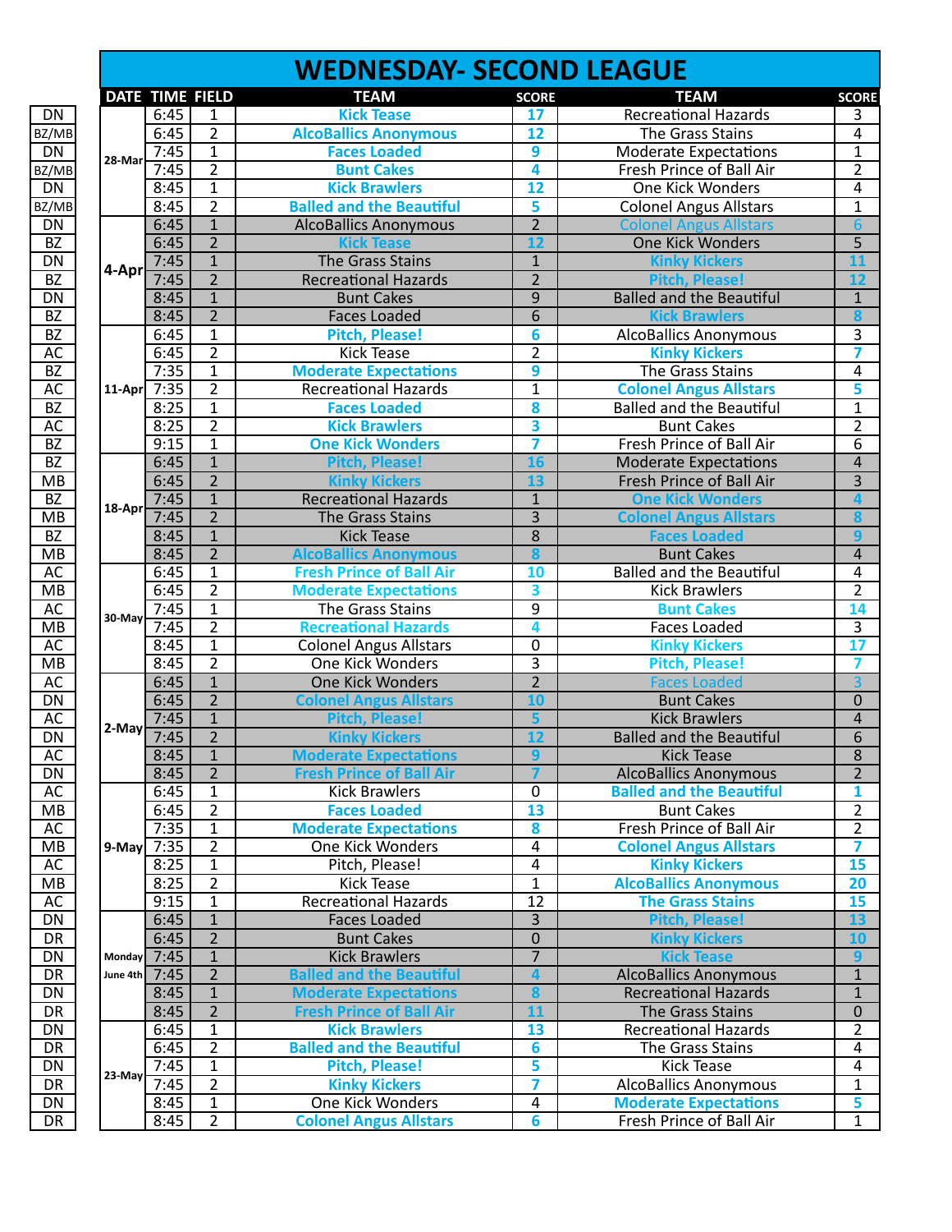|                          |               |                 |                | <b>WEDNESDAY- SECOND LEAGUE</b> |                         |                                 |                 |
|--------------------------|---------------|-----------------|----------------|---------------------------------|-------------------------|---------------------------------|-----------------|
|                          |               | DATE TIME FIELD |                | <b>TEAM</b>                     | <b>SCORE</b>            | <b>TEAM</b>                     | <b>SCORE</b>    |
| DN                       |               | 6:45            | $\mathbf{1}$   | <b>Kick Tease</b>               | 17                      | <b>Recreational Hazards</b>     | 3               |
| BZ/MB                    |               | 6:45            | $\overline{2}$ | <b>AlcoBallics Anonymous</b>    | 12                      | The Grass Stains                | $\overline{4}$  |
| DN                       | 28-Mar        | 7:45            | $\overline{1}$ | <b>Faces Loaded</b>             | $\overline{9}$          | <b>Moderate Expectations</b>    | $\mathbf{1}$    |
| BZ/MB                    |               | 7:45            | $\overline{2}$ | <b>Bunt Cakes</b>               | 4                       | Fresh Prince of Ball Air        | $\overline{2}$  |
| <b>DN</b>                |               | 8:45            | $\overline{1}$ | <b>Kick Brawlers</b>            | $\overline{12}$         | <b>One Kick Wonders</b>         | 4               |
| BZ/MB                    |               | 8:45            | $\overline{2}$ | <b>Balled and the Beautiful</b> | 5                       | <b>Colonel Angus Allstars</b>   | $\mathbf{1}$    |
| DN                       |               | 6:45            | $\overline{1}$ | <b>AlcoBallics Anonymous</b>    | $\overline{2}$          | <b>Colonel Angus Allstars</b>   | 6               |
| $\overline{BZ}$          |               | 6:45            | $\overline{2}$ | <b>Kick Tease</b>               | $\overline{12}$         | <b>One Kick Wonders</b>         | $\overline{5}$  |
| DN                       |               | 7:45            | $\mathbf{1}$   | The Grass Stains                | $\mathbf{1}$            | <b>Kinky Kickers</b>            | 11              |
| $\overline{BZ}$          | 4-Apr         | 7:45            | $\overline{2}$ | <b>Recreational Hazards</b>     | $\overline{2}$          | <b>Pitch, Please!</b>           | 12              |
| DN                       |               | 8:45            | $\overline{1}$ | <b>Bunt Cakes</b>               | $\overline{9}$          | <b>Balled and the Beautiful</b> | $\overline{1}$  |
| $\overline{BZ}$          |               | 8:45            | $\overline{2}$ | <b>Faces Loaded</b>             | $\overline{6}$          | <b>Kick Brawlers</b>            | 8               |
| $\overline{BZ}$          |               | 6:45            | $\overline{1}$ | <b>Pitch, Please!</b>           | 6                       | <b>AlcoBallics Anonymous</b>    | $\overline{3}$  |
| AC                       |               | 6:45            | $\overline{2}$ | <b>Kick Tease</b>               | $\overline{2}$          | <b>Kinky Kickers</b>            | 7               |
| <b>BZ</b>                |               | 7:35            | $\mathbf{1}$   | <b>Moderate Expectations</b>    | 9                       | The Grass Stains                | $\sqrt{4}$      |
| AC                       | $11-Apr$      | 7:35            | $\overline{2}$ | <b>Recreational Hazards</b>     | $\overline{1}$          | <b>Colonel Angus Allstars</b>   | 5               |
| $\overline{BZ}$          |               | 8:25            | $\overline{1}$ | <b>Faces Loaded</b>             | 8                       | <b>Balled and the Beautiful</b> | $\mathbf{1}$    |
| AC                       |               | 8:25            | $\overline{2}$ | <b>Kick Brawlers</b>            | $\overline{\mathbf{3}}$ | <b>Bunt Cakes</b>               | $\overline{2}$  |
| $\overline{BZ}$          |               | 9:15            | $\overline{1}$ | <b>One Kick Wonders</b>         | 7                       | Fresh Prince of Ball Air        | $\overline{6}$  |
| <b>BZ</b>                |               | 6:45            | $\mathbf{1}$   | <b>Pitch, Please!</b>           | 16                      | <b>Moderate Expectations</b>    | $\overline{4}$  |
| MB                       |               | 6:45            | $\overline{2}$ |                                 | 13                      | <b>Fresh Prince of Ball Air</b> | $\overline{3}$  |
|                          |               |                 | $\overline{1}$ | <b>Kinky Kickers</b>            | $\overline{1}$          |                                 | $\Delta$        |
| BZ                       | 18-Apr        | 7:45            |                | <b>Recreational Hazards</b>     |                         | <b>One Kick Wonders</b>         |                 |
| MB                       |               | 7:45            | $\overline{2}$ | The Grass Stains                | $\overline{3}$          | <b>Colonel Angus Allstars</b>   | 8               |
| <b>BZ</b>                |               | 8:45            | $\overline{1}$ | <b>Kick Tease</b>               | $\overline{8}$          | <b>Faces Loaded</b>             | 9               |
| $\overline{\mathsf{MB}}$ |               | 8:45            | $\overline{2}$ | <b>AlcoBallics Anonymous</b>    | 8                       | <b>Bunt Cakes</b>               | $\overline{4}$  |
| AC                       |               | 6:45            | $\mathbf{1}$   | <b>Fresh Prince of Ball Air</b> | 10                      | <b>Balled and the Beautiful</b> | 4               |
| MB                       |               | 6:45            | $\overline{2}$ | <b>Moderate Expectations</b>    | $\overline{\mathbf{3}}$ | <b>Kick Brawlers</b>            | $\overline{2}$  |
| AC                       | 30-May        | 7:45            | $\mathbf{1}$   | The Grass Stains                | $\overline{9}$          | <b>Bunt Cakes</b>               | 14              |
| <b>MB</b>                |               | 7:45            | $\overline{2}$ | <b>Recreational Hazards</b>     | 4                       | <b>Faces Loaded</b>             | $\overline{3}$  |
| AC                       |               | 8:45            | $\overline{1}$ | <b>Colonel Angus Allstars</b>   | $\overline{0}$          | <b>Kinky Kickers</b>            | $\overline{17}$ |
| MB                       |               | 8:45            | $\overline{2}$ | One Kick Wonders                | $\overline{3}$          | <b>Pitch, Please!</b>           | 7               |
| <b>AC</b>                |               | 6:45            | $\overline{1}$ | One Kick Wonders                | $\overline{2}$          | <b>Faces Loaded</b>             | $\overline{3}$  |
| DN                       |               | 6:45            | $\overline{2}$ | <b>Colonel Angus Allstars</b>   | 10                      | <b>Bunt Cakes</b>               | $\overline{0}$  |
| AC                       | 2-May         | 7:45            | $\mathbf{1}$   | <b>Pitch, Please!</b>           | 5                       | <b>Kick Brawlers</b>            | $\overline{4}$  |
| $\overline{DN}$          |               | 7:45            | $\overline{2}$ | <b>Kinky Kickers</b>            | $\overline{12}$         | <b>Balled and the Beautiful</b> | $\overline{6}$  |
| AC                       |               | 8:45            | 1              | <b>Moderate Expectations</b>    | 9                       | <b>Kick Tease</b>               | 8               |
| <b>DN</b>                |               | 8:45            | $2^{\circ}$    | <b>Fresh Prince of Ball Air</b> | $\overline{7}$          | <b>AlcoBallics Anonymous</b>    | $\overline{2}$  |
| <b>AC</b>                |               | 6:45            | $\mathbf{1}$   | <b>Kick Brawlers</b>            | 0                       | <b>Balled and the Beautiful</b> | 1               |
| МB                       |               | 6:45            | $\overline{2}$ | <b>Faces Loaded</b>             | 13                      | <b>Bunt Cakes</b>               | $\overline{2}$  |
| AC                       |               | 7:35            | $\mathbf{1}$   | <b>Moderate Expectations</b>    | 8                       | Fresh Prince of Ball Air        | $\overline{2}$  |
| МB                       | 9-Mayl        | 7:35            | $\overline{2}$ | One Kick Wonders                | 4                       | <b>Colonel Angus Allstars</b>   | 7               |
| AC                       |               | 8:25            | $\mathbf{1}$   | Pitch, Please!                  | $\overline{4}$          | <b>Kinky Kickers</b>            | 15              |
| МB                       |               | 8:25            | $\overline{2}$ | <b>Kick Tease</b>               | $\mathbf{1}$            | <b>AlcoBallics Anonymous</b>    | 20              |
| AC                       |               | 9:15            | $\mathbf{1}$   | <b>Recreational Hazards</b>     | $\overline{12}$         | <b>The Grass Stains</b>         | 15              |
| DN                       |               | 6:45            | $\mathbf{1}$   | <b>Faces Loaded</b>             | $\overline{3}$          | <b>Pitch, Please!</b>           | 13              |
| <b>DR</b>                |               | 6:45            | $\overline{2}$ | <b>Bunt Cakes</b>               | $\overline{0}$          | <b>Kinky Kickers</b>            | 10              |
| DN                       | <b>Monday</b> | 7:45            | $\overline{1}$ | <b>Kick Brawlers</b>            | $\overline{7}$          | <b>Kick Tease</b>               | $\mathbf{q}$    |
| DR                       | June 4th      | 7:45            | $\overline{2}$ | <b>Balled and the Beautiful</b> | $\overline{\mathbf{4}}$ | <b>AlcoBallics Anonymous</b>    | $\mathbf 1$     |
| DN                       |               | 8:45            | $\overline{1}$ | <b>Moderate Expectations</b>    | 8                       | <b>Recreational Hazards</b>     | $\overline{1}$  |
| <b>DR</b>                |               | 8:45            | $\overline{2}$ | <b>Fresh Prince of Ball Air</b> | 11                      | The Grass Stains                | $\overline{0}$  |
| DN                       |               | 6:45            | $\mathbf{1}$   | <b>Kick Brawlers</b>            | 13                      | <b>Recreational Hazards</b>     | $\overline{2}$  |
| DR                       |               | 6:45            | $\overline{2}$ | <b>Balled and the Beautiful</b> | 6                       | The Grass Stains                | 4               |
|                          |               | 7:45            | $\overline{1}$ |                                 | 5                       |                                 | 4               |
| DN                       | $23$ -May     |                 |                | <b>Pitch, Please!</b>           |                         | <b>Kick Tease</b>               |                 |
| DR                       |               | 7:45            | $\overline{2}$ | <b>Kinky Kickers</b>            | 7                       | <b>AlcoBallics Anonymous</b>    | $\mathbf{1}$    |
| DN                       |               | 8:45            | $\overline{1}$ | One Kick Wonders                | 4                       | <b>Moderate Expectations</b>    | 5               |
| DR                       |               | 8:45            | $\overline{2}$ | <b>Colonel Angus Allstars</b>   | $6\overline{6}$         | Fresh Prince of Ball Air        | $\mathbf{1}$    |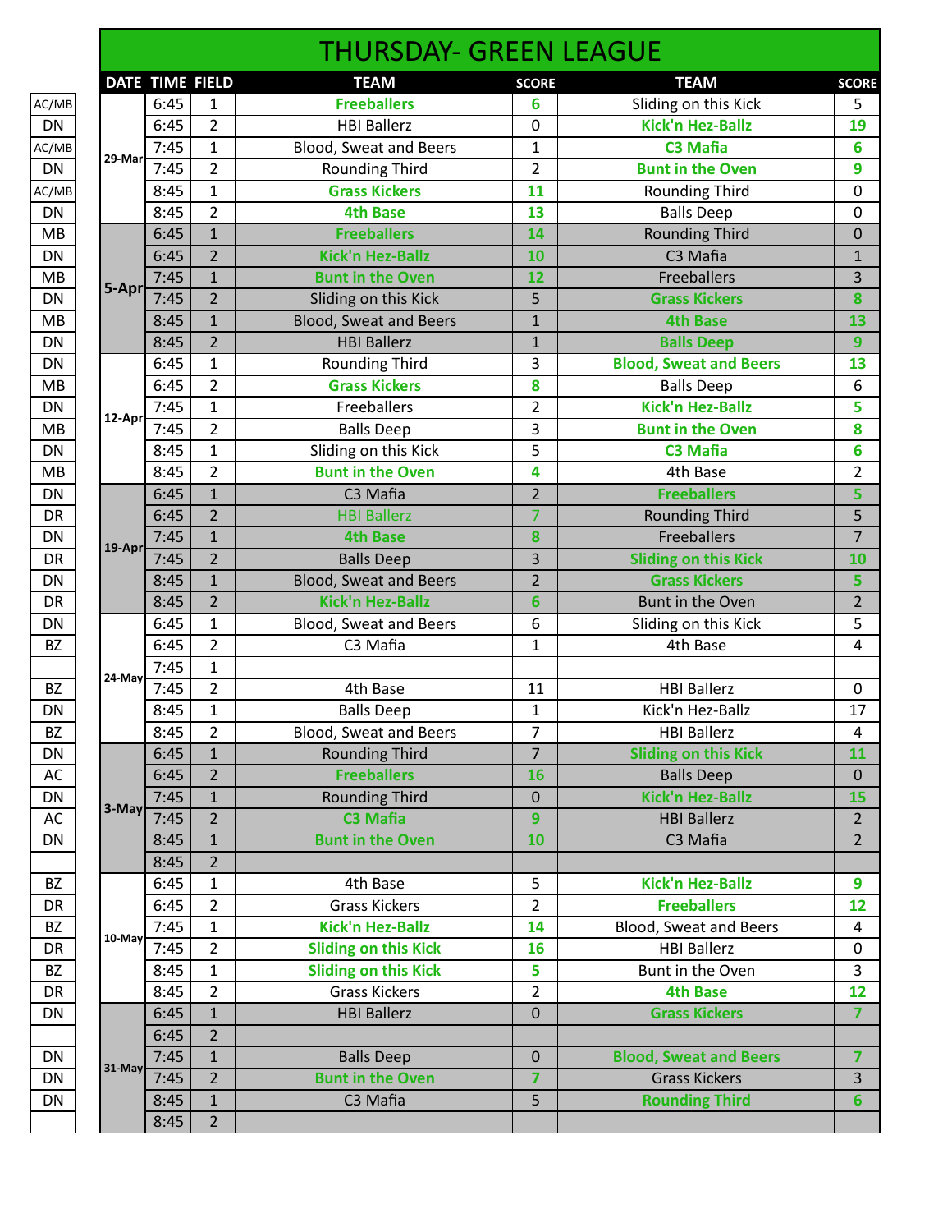|           |           |                 |                | <b>THURSDAY- GREEN LEAGUE</b> |                |                               |                         |
|-----------|-----------|-----------------|----------------|-------------------------------|----------------|-------------------------------|-------------------------|
|           |           | DATE TIME FIELD |                | <b>TEAM</b>                   | <b>SCORE</b>   | <b>TEAM</b>                   | <b>SCORE</b>            |
| AC/MB     |           | 6:45            | $\mathbf{1}$   | <b>Freeballers</b>            | 6              | Sliding on this Kick          | 5                       |
| DN        |           | 6:45            | $\overline{2}$ | <b>HBI Ballerz</b>            | 0              | <b>Kick'n Hez-Ballz</b>       | 19                      |
| AC/MB     | 29-Mar    | 7:45            | $\mathbf{1}$   | Blood, Sweat and Beers        | $\mathbf{1}$   | <b>C3 Mafia</b>               | 6                       |
| <b>DN</b> |           | 7:45            | $\overline{2}$ | <b>Rounding Third</b>         | $\overline{2}$ | <b>Bunt in the Oven</b>       | 9                       |
| AC/MB     |           | 8:45            | $\mathbf{1}$   | <b>Grass Kickers</b>          | 11             | <b>Rounding Third</b>         | 0                       |
| <b>DN</b> |           | 8:45            | $\overline{2}$ | <b>4th Base</b>               | 13             | <b>Balls Deep</b>             | 0                       |
| MB        |           | 6:45            | $\mathbf{1}$   | <b>Freeballers</b>            | 14             | <b>Rounding Third</b>         | $\mathbf 0$             |
| <b>DN</b> |           | 6:45            | $\overline{2}$ | <b>Kick'n Hez-Ballz</b>       | 10             | C3 Mafia                      | $\mathbf{1}$            |
| MB        | 5-Apr     | 7:45            | $\mathbf{1}$   | <b>Bunt in the Oven</b>       | 12             | Freeballers                   | 3                       |
| DN        |           | 7:45            | $\overline{2}$ | Sliding on this Kick          | 5              | <b>Grass Kickers</b>          | 8                       |
| MB        |           | 8:45            | $\mathbf{1}$   | <b>Blood, Sweat and Beers</b> | $\mathbf{1}$   | <b>4th Base</b>               | 13                      |
| <b>DN</b> |           | 8:45            | $\overline{2}$ | <b>HBI Ballerz</b>            | $\mathbf 1$    | <b>Balls Deep</b>             | 9                       |
| DN        |           | 6:45            | $\mathbf{1}$   | Rounding Third                | 3              | <b>Blood, Sweat and Beers</b> | 13                      |
| MB        |           | 6:45            | $\overline{2}$ | <b>Grass Kickers</b>          | 8              | <b>Balls Deep</b>             | 6                       |
| <b>DN</b> |           | 7:45            | $\mathbf{1}$   | Freeballers                   | $\overline{2}$ | <b>Kick'n Hez-Ballz</b>       | 5                       |
| <b>MB</b> | 12-Apr    | 7:45            | $\overline{2}$ | <b>Balls Deep</b>             | 3              | <b>Bunt in the Oven</b>       | 8                       |
| DN        |           | 8:45            | $\mathbf{1}$   | Sliding on this Kick          | 5              | C3 Mafia                      | 6                       |
| MB        |           | 8:45            | $\overline{2}$ | <b>Bunt in the Oven</b>       | 4              | 4th Base                      | 2                       |
| <b>DN</b> |           | 6:45            | $\mathbf{1}$   | C3 Mafia                      | $\overline{2}$ | <b>Freeballers</b>            | 5                       |
| DR        |           | 6:45            | $\overline{2}$ | <b>HBI Ballerz</b>            | $\overline{7}$ | <b>Rounding Third</b>         | 5                       |
| <b>DN</b> |           | 7:45            | $\mathbf{1}$   | <b>4th Base</b>               | 8              | <b>Freeballers</b>            | $\overline{7}$          |
| <b>DR</b> | 19-Apr    | 7:45            | $\overline{2}$ | <b>Balls Deep</b>             | 3              | <b>Sliding on this Kick</b>   | 10                      |
| DN        |           | 8:45            | $\mathbf{1}$   | <b>Blood, Sweat and Beers</b> | $\overline{2}$ | <b>Grass Kickers</b>          | 5                       |
| <b>DR</b> |           | 8:45            | $\overline{2}$ | <b>Kick'n Hez-Ballz</b>       | 6              | Bunt in the Oven              | $\overline{2}$          |
| <b>DN</b> |           | 6:45            | $\mathbf{1}$   | Blood, Sweat and Beers        | 6              | Sliding on this Kick          | 5                       |
| <b>BZ</b> |           | 6:45            | $\overline{2}$ | C3 Mafia                      | $\mathbf{1}$   | 4th Base                      | 4                       |
|           |           | 7:45            | $\mathbf{1}$   |                               |                |                               |                         |
| <b>BZ</b> | 24-May    | 7:45            | $\overline{2}$ | 4th Base                      | 11             | <b>HBI Ballerz</b>            | $\mathbf 0$             |
| DN        |           | 8:45            | $\mathbf{1}$   | <b>Balls Deep</b>             | 1              | Kick'n Hez-Ballz              | 17                      |
| BZ        |           | 8:45            | $\overline{2}$ | Blood, Sweat and Beers        | $\overline{7}$ | <b>HBI Ballerz</b>            | $\overline{\mathbf{r}}$ |
| <b>DN</b> |           | 6:45            | $\mathbf{1}$   | <b>Rounding Third</b>         | $\overline{7}$ | <b>Sliding on this Kick</b>   | 11                      |
| AC        |           | 6:45            | $\overline{2}$ | <b>Freeballers</b>            | 16             | <b>Balls Deep</b>             | $\mathbf 0$             |
| DN        |           | 7:45            | $\mathbf{1}$   | <b>Rounding Third</b>         | $\mathbf 0$    | <b>Kick'n Hez-Ballz</b>       | 15                      |
| AC        | 3-May     | 7:45            | $\overline{2}$ | <b>C3 Mafia</b>               | 9              | <b>HBI Ballerz</b>            | $\overline{2}$          |
| DN        |           | 8:45            | $\mathbf{1}$   | <b>Bunt in the Oven</b>       | 10             | C3 Mafia                      | $2^{\circ}$             |
|           |           | 8:45            | $\overline{2}$ |                               |                |                               |                         |
| <b>BZ</b> |           | 6:45            | $\mathbf{1}$   | 4th Base                      | 5              | <b>Kick'n Hez-Ballz</b>       | 9                       |
| <b>DR</b> |           | 6:45            | $\overline{2}$ | <b>Grass Kickers</b>          | $\overline{2}$ | <b>Freeballers</b>            | 12                      |
| <b>BZ</b> |           | 7:45            | $\mathbf{1}$   | <b>Kick'n Hez-Ballz</b>       | 14             | Blood, Sweat and Beers        | 4                       |
| DR        | $10$ -May | 7:45            | $\overline{2}$ | <b>Sliding on this Kick</b>   | 16             | <b>HBI Ballerz</b>            | $\mathbf 0$             |
| <b>BZ</b> |           | 8:45            | 1              | <b>Sliding on this Kick</b>   | 5              | Bunt in the Oven              | 3                       |
| <b>DR</b> |           | 8:45            | $\overline{2}$ | <b>Grass Kickers</b>          | $\overline{2}$ | <b>4th Base</b>               | 12                      |
| DN        |           | 6:45            | $\mathbf{1}$   | <b>HBI Ballerz</b>            | $\mathbf 0$    | <b>Grass Kickers</b>          | $\overline{7}$          |
|           |           | 6:45            | $\overline{2}$ |                               |                |                               |                         |
| DN        |           | 7:45            | $\mathbf{1}$   | <b>Balls Deep</b>             | $\mathbf{0}$   | <b>Blood, Sweat and Beers</b> | $\overline{7}$          |
| <b>DN</b> |           | 7:45            | $\overline{2}$ | <b>Bunt in the Oven</b>       | $\overline{7}$ | <b>Grass Kickers</b>          | 3                       |
| DN        | $31$ -May | 8:45            | $\mathbf{1}$   | C3 Mafia                      | 5              | <b>Rounding Third</b>         | 6                       |
|           |           | 8:45            | 2 <sup>1</sup> |                               |                |                               |                         |
|           |           |                 |                |                               |                |                               |                         |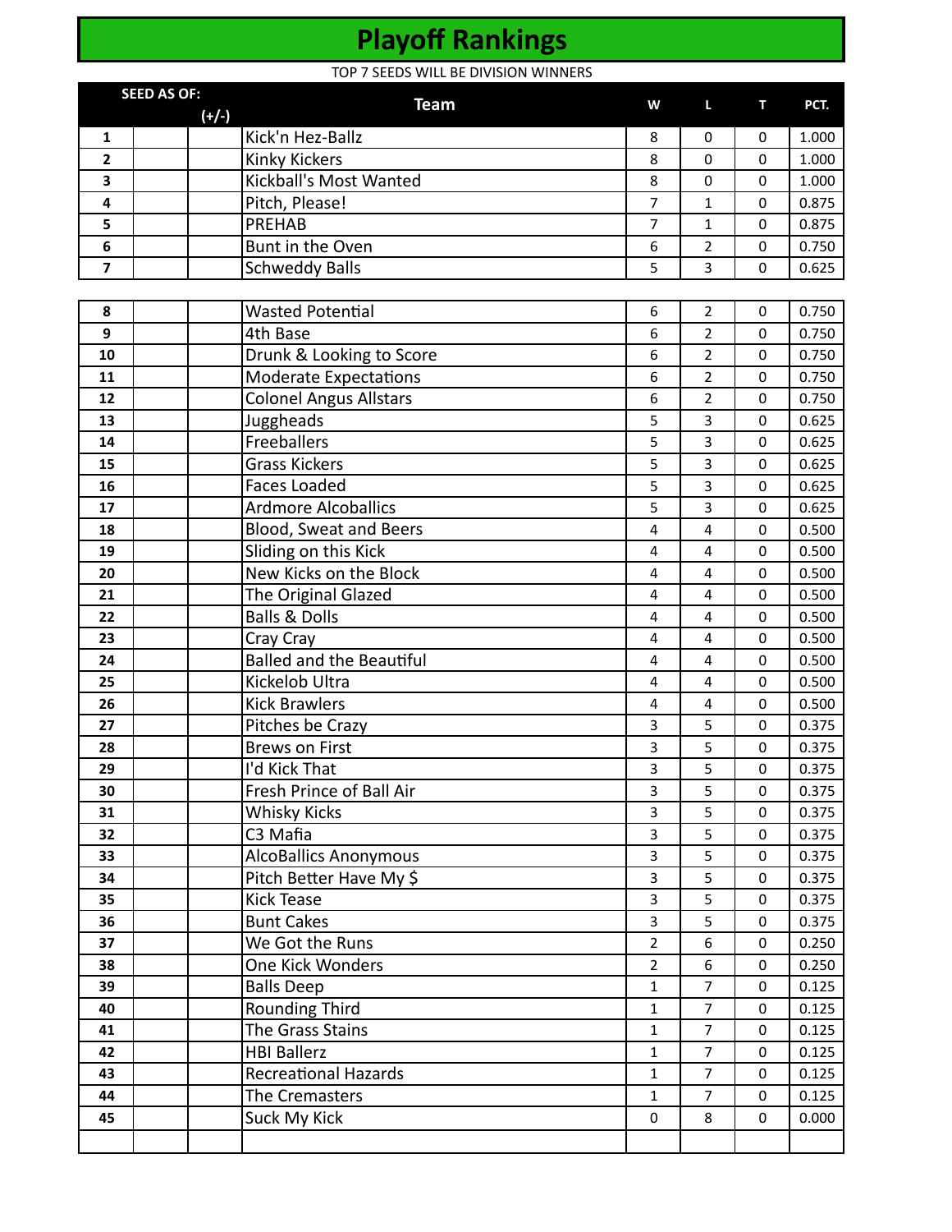# **Playoff Rankings**

TOP 7 SEEDS WILL BE DIVISION WINNERS

|                         | <b>SEED AS OF:</b> | <b>TOT 7 SEEDS WILL BE DIVISION WINNERS</b><br><b>Team</b> | W                | L                       | т           | PCT.  |
|-------------------------|--------------------|------------------------------------------------------------|------------------|-------------------------|-------------|-------|
|                         |                    | $(+/-)$                                                    |                  |                         |             |       |
| $\mathbf{1}$            |                    | Kick'n Hez-Ballz                                           | 8                | 0                       | 0           | 1.000 |
| $\mathbf{2}$            |                    | <b>Kinky Kickers</b>                                       | 8                | 0                       | $\Omega$    | 1.000 |
| 3                       |                    | Kickball's Most Wanted                                     | 8                | 0                       | 0           | 1.000 |
| 4                       |                    | Pitch, Please!                                             | $\overline{7}$   | $\mathbf{1}$            | 0           | 0.875 |
| 5                       |                    | <b>PREHAB</b>                                              | $\overline{7}$   | $\mathbf{1}$            | $\mathbf 0$ | 0.875 |
| 6                       |                    | Bunt in the Oven                                           | 6                | 2                       | 0           | 0.750 |
| $\overline{\mathbf{z}}$ |                    | <b>Schweddy Balls</b>                                      | 5                | $\overline{3}$          | $\mathbf 0$ | 0.625 |
| 8                       |                    | <b>Wasted Potential</b>                                    | 6                | $\overline{2}$          | 0           | 0.750 |
| $\boldsymbol{9}$        |                    | 4th Base                                                   | 6                | $\overline{2}$          | 0           | 0.750 |
| 10                      |                    | Drunk & Looking to Score                                   | 6                | $\overline{2}$          | $\mathbf 0$ | 0.750 |
| 11                      |                    |                                                            | 6                | $\overline{2}$          |             | 0.750 |
|                         |                    | <b>Moderate Expectations</b>                               |                  |                         | 0           |       |
| 12                      |                    | <b>Colonel Angus Allstars</b>                              | $\boldsymbol{6}$ | $\overline{2}$          | 0           | 0.750 |
| 13                      |                    | Juggheads                                                  | 5                | 3                       | $\mathbf 0$ | 0.625 |
| 14                      |                    | Freeballers                                                | 5                | 3                       | 0           | 0.625 |
| 15                      |                    | <b>Grass Kickers</b>                                       | 5                | $\overline{3}$          | 0           | 0.625 |
| 16                      |                    | <b>Faces Loaded</b>                                        | 5                | 3                       | $\mathbf 0$ | 0.625 |
| 17                      |                    | <b>Ardmore Alcoballics</b>                                 | 5                | 3                       | 0           | 0.625 |
| 18                      |                    | Blood, Sweat and Beers                                     | $\overline{4}$   | 4                       | 0           | 0.500 |
| 19                      |                    | Sliding on this Kick                                       | 4                | $\overline{4}$          | $\mathbf 0$ | 0.500 |
| 20                      |                    | New Kicks on the Block                                     | 4                | 4                       | 0           | 0.500 |
| 21                      |                    | The Original Glazed                                        | $\overline{4}$   | $\overline{\mathbf{4}}$ | 0           | 0.500 |
| 22                      |                    | <b>Balls &amp; Dolls</b>                                   | 4                | $\overline{\mathbf{4}}$ | $\mathbf 0$ | 0.500 |
| 23                      |                    | Cray Cray                                                  | 4                | 4                       | 0           | 0.500 |
| 24                      |                    | <b>Balled and the Beautiful</b>                            | 4                | $\overline{\mathbf{4}}$ | 0           | 0.500 |
| 25                      |                    | Kickelob Ultra                                             | 4                | $\overline{4}$          | $\mathbf 0$ | 0.500 |
| 26                      |                    | <b>Kick Brawlers</b>                                       | 4                | 4                       | 0           | 0.500 |
| 27                      |                    | Pitches be Crazy                                           | 3                | 5                       | 0           | 0.375 |
| 28                      |                    | <b>Brews on First</b>                                      | 3                | 5                       | 0           | 0.375 |
| 29                      |                    | I'd Kick That                                              | 3                | 5                       | 0           | 0.375 |
| 30                      |                    | Fresh Prince of Ball Air                                   | 3                | 5                       | 0           | 0.375 |
| 31                      |                    | <b>Whisky Kicks</b>                                        | 3                | 5                       | $\mathbf 0$ | 0.375 |
| 32                      |                    | C3 Mafia                                                   | 3                | 5                       | 0           | 0.375 |
| 33                      |                    | AlcoBallics Anonymous                                      | $\overline{3}$   | 5                       | $\mathbf 0$ | 0.375 |
| 34                      |                    | Pitch Better Have My \$                                    | 3                | 5                       | $\mathbf 0$ | 0.375 |
| 35                      |                    | Kick Tease                                                 | 3                | 5                       | 0           | 0.375 |
| 36                      |                    | <b>Bunt Cakes</b>                                          | $\overline{3}$   | 5                       | $\mathbf 0$ | 0.375 |
| 37                      |                    | We Got the Runs                                            | $\overline{2}$   | 6                       | $\mathbf 0$ | 0.250 |
| 38                      |                    | One Kick Wonders                                           | $\overline{2}$   | 6                       | 0           | 0.250 |
| 39                      |                    | <b>Balls Deep</b>                                          | $\mathbf{1}$     | $\overline{7}$          | $\mathbf 0$ | 0.125 |
| 40                      |                    | <b>Rounding Third</b>                                      | $\mathbf{1}$     | $\overline{7}$          | $\mathbf 0$ | 0.125 |
| 41                      |                    | The Grass Stains                                           | $\mathbf{1}$     | $\overline{7}$          | 0           | 0.125 |
| 42                      |                    | <b>HBI Ballerz</b>                                         | $\mathbf{1}$     | $\overline{7}$          | $\mathbf 0$ | 0.125 |
| 43                      |                    | Recreational Hazards                                       | $\mathbf{1}$     | $\overline{7}$          | $\mathbf 0$ | 0.125 |
| 44                      |                    | The Cremasters                                             | $\mathbf{1}$     | $\overline{7}$          | 0           | 0.125 |
| 45                      |                    | Suck My Kick                                               | $\mathbf 0$      | 8                       | 0           | 0.000 |
|                         |                    |                                                            |                  |                         |             |       |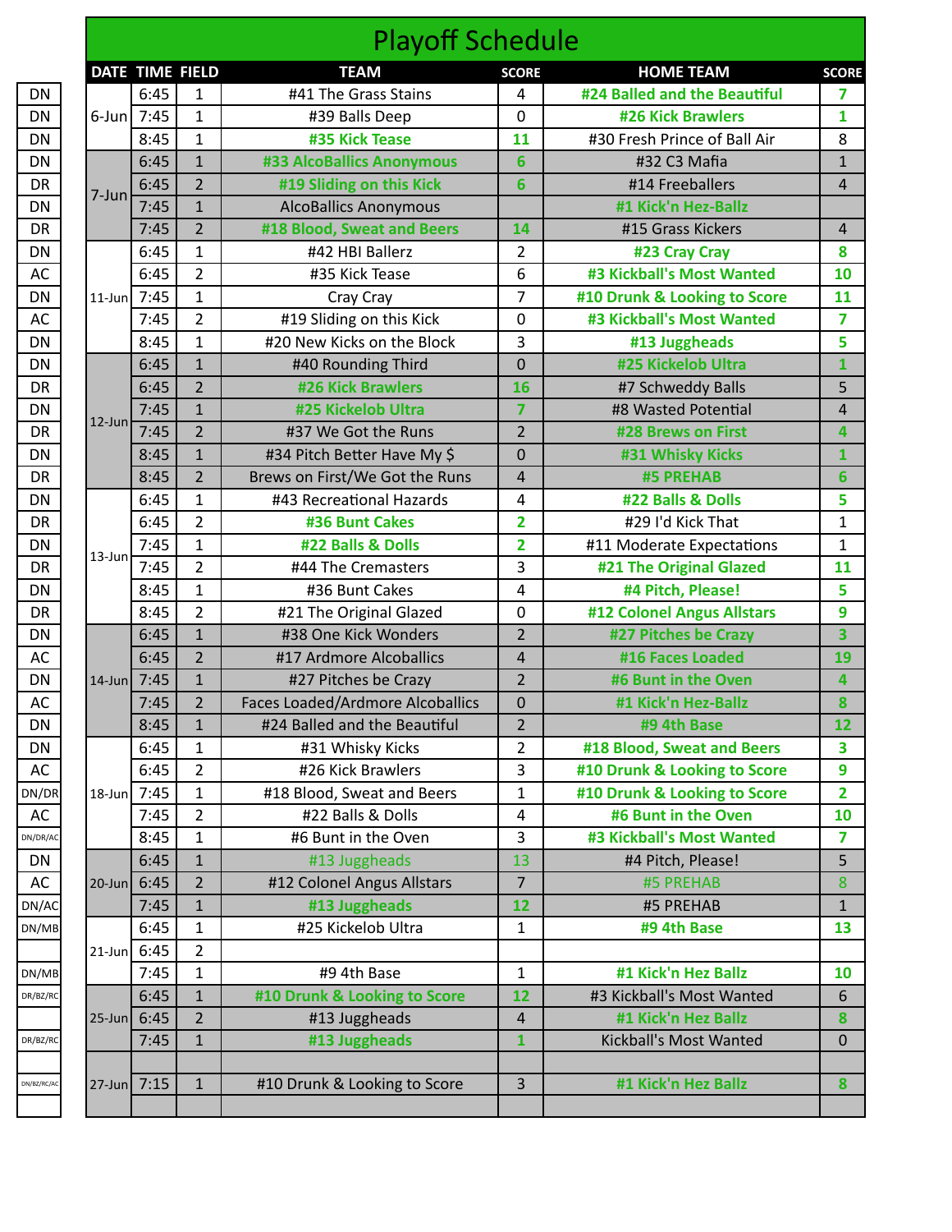|             | <b>DATE</b> | T                        |
|-------------|-------------|--------------------------|
| DN          |             | $\epsilon$               |
| DN          | 6-Jun       | 7                        |
| DN          |             | 8                        |
| DN          |             | $\epsilon$               |
| DR          |             | $\epsilon$               |
| DN          | 7-Jun       |                          |
| DR          |             | $\frac{1}{7}$            |
| DN          |             | $\epsilon$               |
| AC          |             | $\epsilon$               |
| DN          | 11-Jun      | $\overline{\phantom{a}}$ |
| AC          |             | $\overline{7}$           |
| DN          |             | 8                        |
| DN          |             | $\overline{\epsilon}$    |
| DR          |             | $\epsilon$               |
| DN          |             | $\frac{1}{7}$            |
| DR          | $12$ -Jun   |                          |
| DN          |             | g                        |
| DR          |             | $\epsilon$               |
| DN          |             | $\epsilon$               |
| DR          |             | $\overline{6}$           |
| DN          | 13-Jun      | $\overline{ }$           |
| DR          |             | $\overline{\phantom{a}}$ |
| DN          |             | $\frac{8}{1}$            |
| DR          |             | 8                        |
| DN          |             | $\epsilon$               |
| AC          |             | $\overline{6}$           |
| DN          | 14-Jun      | 7                        |
| AC          |             | $\overline{1}$           |
| DN          |             | $\overline{8}$           |
| DN          |             | $\epsilon$               |
| AC          |             | Є                        |
| DN/DR       | 18-Jun      | 7                        |
| AC          |             | 7                        |
| DN/DR/AC    |             | 8                        |
| DN          |             | $\epsilon$               |
| AC          | 20-Jun      | $\epsilon$               |
| DN/AC       |             | 7                        |
| DN/MB       |             | Є                        |
|             | $21$ -Jun   | $\epsilon$               |
| DN/MB       |             | 7                        |
| DR/BZ/RC    |             | $\epsilon$               |
|             | 25-Jun      | $\epsilon$               |
| DR/BZ/RC    |             | 7                        |
|             |             |                          |
| DN/BZ/RC/AC | 27-Jun      | $\overline{7}$           |

|                                                                                                                                                                                        |                |                                                                                                                                                                                                                                                                                                                                                                                                                                                                                                                                                                                                                                                                                                                                                                                                                                                                                                                                                                                                                                                                                                                                                                                                                                                                                                                                                                                                                                                                                                                                                                                                                                                                                                                                                                                                                                                                                                                                                                                                                                                                                                                                                                                                                                                                                                                                                                                                                                                                                                                                                                                                                                                                                                                                                                                                                                                                                                                                            | <b>TEAM</b>                  | <b>SCORE</b> | <b>HOME TEAM</b>             | <b>SCORE</b> |
|----------------------------------------------------------------------------------------------------------------------------------------------------------------------------------------|----------------|--------------------------------------------------------------------------------------------------------------------------------------------------------------------------------------------------------------------------------------------------------------------------------------------------------------------------------------------------------------------------------------------------------------------------------------------------------------------------------------------------------------------------------------------------------------------------------------------------------------------------------------------------------------------------------------------------------------------------------------------------------------------------------------------------------------------------------------------------------------------------------------------------------------------------------------------------------------------------------------------------------------------------------------------------------------------------------------------------------------------------------------------------------------------------------------------------------------------------------------------------------------------------------------------------------------------------------------------------------------------------------------------------------------------------------------------------------------------------------------------------------------------------------------------------------------------------------------------------------------------------------------------------------------------------------------------------------------------------------------------------------------------------------------------------------------------------------------------------------------------------------------------------------------------------------------------------------------------------------------------------------------------------------------------------------------------------------------------------------------------------------------------------------------------------------------------------------------------------------------------------------------------------------------------------------------------------------------------------------------------------------------------------------------------------------------------------------------------------------------------------------------------------------------------------------------------------------------------------------------------------------------------------------------------------------------------------------------------------------------------------------------------------------------------------------------------------------------------------------------------------------------------------------------------------------------------|------------------------------|--------------|------------------------------|--------------|
|                                                                                                                                                                                        | 6:45           | $\mathbf{1}$                                                                                                                                                                                                                                                                                                                                                                                                                                                                                                                                                                                                                                                                                                                                                                                                                                                                                                                                                                                                                                                                                                                                                                                                                                                                                                                                                                                                                                                                                                                                                                                                                                                                                                                                                                                                                                                                                                                                                                                                                                                                                                                                                                                                                                                                                                                                                                                                                                                                                                                                                                                                                                                                                                                                                                                                                                                                                                                               | #41 The Grass Stains         | 4            | #24 Balled and the Beautiful | 7            |
|                                                                                                                                                                                        | 6-Jun $7:45$   | $\mathbf{1}$                                                                                                                                                                                                                                                                                                                                                                                                                                                                                                                                                                                                                                                                                                                                                                                                                                                                                                                                                                                                                                                                                                                                                                                                                                                                                                                                                                                                                                                                                                                                                                                                                                                                                                                                                                                                                                                                                                                                                                                                                                                                                                                                                                                                                                                                                                                                                                                                                                                                                                                                                                                                                                                                                                                                                                                                                                                                                                                               | #39 Balls Deep               | $\mathbf 0$  | <b>#26 Kick Brawlers</b>     | $\mathbf{1}$ |
|                                                                                                                                                                                        | 8:45           | $\mathbf{1}$                                                                                                                                                                                                                                                                                                                                                                                                                                                                                                                                                                                                                                                                                                                                                                                                                                                                                                                                                                                                                                                                                                                                                                                                                                                                                                                                                                                                                                                                                                                                                                                                                                                                                                                                                                                                                                                                                                                                                                                                                                                                                                                                                                                                                                                                                                                                                                                                                                                                                                                                                                                                                                                                                                                                                                                                                                                                                                                               | #35 Kick Tease               | 11           | #30 Fresh Prince of Ball Air | 8            |
|                                                                                                                                                                                        | 6:45           | $\mathbf{1}$                                                                                                                                                                                                                                                                                                                                                                                                                                                                                                                                                                                                                                                                                                                                                                                                                                                                                                                                                                                                                                                                                                                                                                                                                                                                                                                                                                                                                                                                                                                                                                                                                                                                                                                                                                                                                                                                                                                                                                                                                                                                                                                                                                                                                                                                                                                                                                                                                                                                                                                                                                                                                                                                                                                                                                                                                                                                                                                               | #33 AlcoBallics Anonymous    | 6            | #32 C3 Mafia                 |              |
|                                                                                                                                                                                        | 6:45           | $\overline{2}$                                                                                                                                                                                                                                                                                                                                                                                                                                                                                                                                                                                                                                                                                                                                                                                                                                                                                                                                                                                                                                                                                                                                                                                                                                                                                                                                                                                                                                                                                                                                                                                                                                                                                                                                                                                                                                                                                                                                                                                                                                                                                                                                                                                                                                                                                                                                                                                                                                                                                                                                                                                                                                                                                                                                                                                                                                                                                                                             | #19 Sliding on this Kick     | 6            | #14 Freeballers              |              |
|                                                                                                                                                                                        | 7:45           | $\mathbf{1}$                                                                                                                                                                                                                                                                                                                                                                                                                                                                                                                                                                                                                                                                                                                                                                                                                                                                                                                                                                                                                                                                                                                                                                                                                                                                                                                                                                                                                                                                                                                                                                                                                                                                                                                                                                                                                                                                                                                                                                                                                                                                                                                                                                                                                                                                                                                                                                                                                                                                                                                                                                                                                                                                                                                                                                                                                                                                                                                               | <b>AlcoBallics Anonymous</b> |              | #1 Kick'n Hez-Ballz          |              |
|                                                                                                                                                                                        | 7:45           | $\overline{2}$                                                                                                                                                                                                                                                                                                                                                                                                                                                                                                                                                                                                                                                                                                                                                                                                                                                                                                                                                                                                                                                                                                                                                                                                                                                                                                                                                                                                                                                                                                                                                                                                                                                                                                                                                                                                                                                                                                                                                                                                                                                                                                                                                                                                                                                                                                                                                                                                                                                                                                                                                                                                                                                                                                                                                                                                                                                                                                                             | #18 Blood, Sweat and Beers   | 14           | #15 Grass Kickers            |              |
|                                                                                                                                                                                        | 6:45           | <b>Playoff Schedule</b><br>DATE TIME FIELD<br>$\mathbf{1}$<br>#42 HBI Ballerz<br>$\overline{2}$<br>#23 Cray Cray<br>#3 Kickball's Most Wanted<br>$\overline{2}$<br>6<br>#35 Kick Tease<br>10<br>$\mathbf{1}$<br>$\overline{7}$<br>#10 Drunk & Looking to Score<br>11<br>Cray Cray<br>$\overline{2}$<br>#19 Sliding on this Kick<br>#3 Kickball's Most Wanted<br>0<br>#20 New Kicks on the Block<br>3<br>$\mathbf{1}$<br>#13 Juggheads<br>#25 Kickelob Ultra<br>$\mathbf{1}$<br>#40 Rounding Third<br>$\mathbf 0$<br>$\overline{2}$<br><b>#26 Kick Brawlers</b><br>16<br>#7 Schweddy Balls<br>$\mathbf{1}$<br>#25 Kickelob Ultra<br>$\overline{7}$<br>#8 Wasted Potential<br>$\overline{2}$<br>$\overline{2}$<br>#37 We Got the Runs<br>#28 Brews on First<br>$\mathbf{1}$<br>#34 Pitch Better Have My \$<br>$\mathbf 0$<br>#31 Whisky Kicks<br>$\overline{2}$<br>Brews on First/We Got the Runs<br>#5 PREHAB<br>$\overline{4}$<br>$\mathbf 1$<br>#43 Recreational Hazards<br>4<br>#22 Balls & Dolls<br>$\overline{2}$<br>$\overline{2}$<br>#29 I'd Kick That<br>#36 Bunt Cakes<br>$\mathbf 1$<br>#22 Balls & Dolls<br>$\overline{2}$<br>#11 Moderate Expectations<br>$\overline{2}$<br>3<br>#21 The Original Glazed<br>#44 The Cremasters<br>11<br>$\mathbf{1}$<br>#4 Pitch, Please!<br>#36 Bunt Cakes<br>4<br>$\overline{2}$<br>#12 Colonel Angus Allstars<br>#21 The Original Glazed<br>$\mathbf 0$<br>$\mathbf{1}$<br>#27 Pitches be Crazy<br>#38 One Kick Wonders<br>$\overline{2}$<br>$\overline{2}$<br>$\overline{4}$<br>#16 Faces Loaded<br>#17 Ardmore Alcoballics<br>19<br>$\mathbf{1}$<br>$\overline{2}$<br>#6 Bunt in the Oven<br>#27 Pitches be Crazy<br>$\overline{2}$<br>$\mathbf 0$<br>#1 Kick'n Hez-Ballz<br><b>Faces Loaded/Ardmore Alcoballics</b><br>$\overline{2}$<br>$\mathbf{1}$<br>12<br>#24 Balled and the Beautiful<br>#9 4th Base<br>$\overline{2}$<br>$\mathbf{1}$<br>#18 Blood, Sweat and Beers<br>#31 Whisky Kicks<br>$\overline{2}$<br>#26 Kick Brawlers<br>#10 Drunk & Looking to Score<br>3<br>$\mathbf{1}$<br>$\mathbf{1}$<br>#10 Drunk & Looking to Score<br>#18 Blood, Sweat and Beers<br>$\overline{2}$<br>#6 Bunt in the Oven<br>#22 Balls & Dolls<br>10<br>4<br>$\mathbf{1}$<br>3<br>#3 Kickball's Most Wanted<br>#6 Bunt in the Oven<br>$\mathbf{1}$<br>#13 Juggheads<br>13<br>#4 Pitch, Please!<br>$\overline{2}$<br>$\overline{7}$<br>#12 Colonel Angus Allstars<br>#5 PREHAB<br>$\mathbf{1}$<br>#13 Juggheads<br>12<br>#5 PREHAB<br>#25 Kickelob Ultra<br>$\mathbf{1}$<br>$\mathbf{1}$<br>#9 4th Base<br>13<br>$\overline{2}$<br>$\mathbf{1}$<br>#1 Kick'n Hez Ballz<br>#9 4th Base<br>1<br>10<br>#3 Kickball's Most Wanted<br>$\mathbf{1}$<br>#10 Drunk & Looking to Score<br>12<br>$\overline{2}$<br>#1 Kick'n Hez Ballz<br>#13 Juggheads<br>4<br>#13 Juggheads<br>$1\,$<br>$\mathbf{1}$<br>Kickball's Most Wanted<br>#1 Kick'n Hez Ballz<br>#10 Drunk & Looking to Score<br>3<br>$\mathbf{1}$ |                              |              |                              |              |
| $7 - Jun$                                                                                                                                                                              | 6:45           |                                                                                                                                                                                                                                                                                                                                                                                                                                                                                                                                                                                                                                                                                                                                                                                                                                                                                                                                                                                                                                                                                                                                                                                                                                                                                                                                                                                                                                                                                                                                                                                                                                                                                                                                                                                                                                                                                                                                                                                                                                                                                                                                                                                                                                                                                                                                                                                                                                                                                                                                                                                                                                                                                                                                                                                                                                                                                                                                            |                              |              |                              |              |
| $11$ -Jun                                                                                                                                                                              | 7:45           |                                                                                                                                                                                                                                                                                                                                                                                                                                                                                                                                                                                                                                                                                                                                                                                                                                                                                                                                                                                                                                                                                                                                                                                                                                                                                                                                                                                                                                                                                                                                                                                                                                                                                                                                                                                                                                                                                                                                                                                                                                                                                                                                                                                                                                                                                                                                                                                                                                                                                                                                                                                                                                                                                                                                                                                                                                                                                                                                            |                              |              |                              |              |
|                                                                                                                                                                                        | 7:45           |                                                                                                                                                                                                                                                                                                                                                                                                                                                                                                                                                                                                                                                                                                                                                                                                                                                                                                                                                                                                                                                                                                                                                                                                                                                                                                                                                                                                                                                                                                                                                                                                                                                                                                                                                                                                                                                                                                                                                                                                                                                                                                                                                                                                                                                                                                                                                                                                                                                                                                                                                                                                                                                                                                                                                                                                                                                                                                                                            |                              |              |                              |              |
|                                                                                                                                                                                        | 8:45           |                                                                                                                                                                                                                                                                                                                                                                                                                                                                                                                                                                                                                                                                                                                                                                                                                                                                                                                                                                                                                                                                                                                                                                                                                                                                                                                                                                                                                                                                                                                                                                                                                                                                                                                                                                                                                                                                                                                                                                                                                                                                                                                                                                                                                                                                                                                                                                                                                                                                                                                                                                                                                                                                                                                                                                                                                                                                                                                                            |                              |              |                              |              |
|                                                                                                                                                                                        | 6:45           |                                                                                                                                                                                                                                                                                                                                                                                                                                                                                                                                                                                                                                                                                                                                                                                                                                                                                                                                                                                                                                                                                                                                                                                                                                                                                                                                                                                                                                                                                                                                                                                                                                                                                                                                                                                                                                                                                                                                                                                                                                                                                                                                                                                                                                                                                                                                                                                                                                                                                                                                                                                                                                                                                                                                                                                                                                                                                                                                            |                              |              |                              |              |
|                                                                                                                                                                                        | 6:45           |                                                                                                                                                                                                                                                                                                                                                                                                                                                                                                                                                                                                                                                                                                                                                                                                                                                                                                                                                                                                                                                                                                                                                                                                                                                                                                                                                                                                                                                                                                                                                                                                                                                                                                                                                                                                                                                                                                                                                                                                                                                                                                                                                                                                                                                                                                                                                                                                                                                                                                                                                                                                                                                                                                                                                                                                                                                                                                                                            |                              |              |                              |              |
|                                                                                                                                                                                        | 7:45           |                                                                                                                                                                                                                                                                                                                                                                                                                                                                                                                                                                                                                                                                                                                                                                                                                                                                                                                                                                                                                                                                                                                                                                                                                                                                                                                                                                                                                                                                                                                                                                                                                                                                                                                                                                                                                                                                                                                                                                                                                                                                                                                                                                                                                                                                                                                                                                                                                                                                                                                                                                                                                                                                                                                                                                                                                                                                                                                                            |                              |              |                              |              |
|                                                                                                                                                                                        | 7:45           |                                                                                                                                                                                                                                                                                                                                                                                                                                                                                                                                                                                                                                                                                                                                                                                                                                                                                                                                                                                                                                                                                                                                                                                                                                                                                                                                                                                                                                                                                                                                                                                                                                                                                                                                                                                                                                                                                                                                                                                                                                                                                                                                                                                                                                                                                                                                                                                                                                                                                                                                                                                                                                                                                                                                                                                                                                                                                                                                            |                              |              |                              |              |
|                                                                                                                                                                                        | 8:45           |                                                                                                                                                                                                                                                                                                                                                                                                                                                                                                                                                                                                                                                                                                                                                                                                                                                                                                                                                                                                                                                                                                                                                                                                                                                                                                                                                                                                                                                                                                                                                                                                                                                                                                                                                                                                                                                                                                                                                                                                                                                                                                                                                                                                                                                                                                                                                                                                                                                                                                                                                                                                                                                                                                                                                                                                                                                                                                                                            |                              |              |                              |              |
|                                                                                                                                                                                        | 8:45           |                                                                                                                                                                                                                                                                                                                                                                                                                                                                                                                                                                                                                                                                                                                                                                                                                                                                                                                                                                                                                                                                                                                                                                                                                                                                                                                                                                                                                                                                                                                                                                                                                                                                                                                                                                                                                                                                                                                                                                                                                                                                                                                                                                                                                                                                                                                                                                                                                                                                                                                                                                                                                                                                                                                                                                                                                                                                                                                                            |                              |              |                              |              |
|                                                                                                                                                                                        | 6:45           |                                                                                                                                                                                                                                                                                                                                                                                                                                                                                                                                                                                                                                                                                                                                                                                                                                                                                                                                                                                                                                                                                                                                                                                                                                                                                                                                                                                                                                                                                                                                                                                                                                                                                                                                                                                                                                                                                                                                                                                                                                                                                                                                                                                                                                                                                                                                                                                                                                                                                                                                                                                                                                                                                                                                                                                                                                                                                                                                            |                              |              |                              |              |
|                                                                                                                                                                                        | 6:45           |                                                                                                                                                                                                                                                                                                                                                                                                                                                                                                                                                                                                                                                                                                                                                                                                                                                                                                                                                                                                                                                                                                                                                                                                                                                                                                                                                                                                                                                                                                                                                                                                                                                                                                                                                                                                                                                                                                                                                                                                                                                                                                                                                                                                                                                                                                                                                                                                                                                                                                                                                                                                                                                                                                                                                                                                                                                                                                                                            |                              |              |                              |              |
|                                                                                                                                                                                        |                |                                                                                                                                                                                                                                                                                                                                                                                                                                                                                                                                                                                                                                                                                                                                                                                                                                                                                                                                                                                                                                                                                                                                                                                                                                                                                                                                                                                                                                                                                                                                                                                                                                                                                                                                                                                                                                                                                                                                                                                                                                                                                                                                                                                                                                                                                                                                                                                                                                                                                                                                                                                                                                                                                                                                                                                                                                                                                                                                            |                              |              |                              |              |
|                                                                                                                                                                                        |                |                                                                                                                                                                                                                                                                                                                                                                                                                                                                                                                                                                                                                                                                                                                                                                                                                                                                                                                                                                                                                                                                                                                                                                                                                                                                                                                                                                                                                                                                                                                                                                                                                                                                                                                                                                                                                                                                                                                                                                                                                                                                                                                                                                                                                                                                                                                                                                                                                                                                                                                                                                                                                                                                                                                                                                                                                                                                                                                                            |                              |              |                              |              |
|                                                                                                                                                                                        |                |                                                                                                                                                                                                                                                                                                                                                                                                                                                                                                                                                                                                                                                                                                                                                                                                                                                                                                                                                                                                                                                                                                                                                                                                                                                                                                                                                                                                                                                                                                                                                                                                                                                                                                                                                                                                                                                                                                                                                                                                                                                                                                                                                                                                                                                                                                                                                                                                                                                                                                                                                                                                                                                                                                                                                                                                                                                                                                                                            |                              |              |                              |              |
|                                                                                                                                                                                        |                |                                                                                                                                                                                                                                                                                                                                                                                                                                                                                                                                                                                                                                                                                                                                                                                                                                                                                                                                                                                                                                                                                                                                                                                                                                                                                                                                                                                                                                                                                                                                                                                                                                                                                                                                                                                                                                                                                                                                                                                                                                                                                                                                                                                                                                                                                                                                                                                                                                                                                                                                                                                                                                                                                                                                                                                                                                                                                                                                            |                              |              |                              |              |
|                                                                                                                                                                                        |                |                                                                                                                                                                                                                                                                                                                                                                                                                                                                                                                                                                                                                                                                                                                                                                                                                                                                                                                                                                                                                                                                                                                                                                                                                                                                                                                                                                                                                                                                                                                                                                                                                                                                                                                                                                                                                                                                                                                                                                                                                                                                                                                                                                                                                                                                                                                                                                                                                                                                                                                                                                                                                                                                                                                                                                                                                                                                                                                                            |                              |              |                              |              |
|                                                                                                                                                                                        |                |                                                                                                                                                                                                                                                                                                                                                                                                                                                                                                                                                                                                                                                                                                                                                                                                                                                                                                                                                                                                                                                                                                                                                                                                                                                                                                                                                                                                                                                                                                                                                                                                                                                                                                                                                                                                                                                                                                                                                                                                                                                                                                                                                                                                                                                                                                                                                                                                                                                                                                                                                                                                                                                                                                                                                                                                                                                                                                                                            |                              |              |                              |              |
|                                                                                                                                                                                        |                |                                                                                                                                                                                                                                                                                                                                                                                                                                                                                                                                                                                                                                                                                                                                                                                                                                                                                                                                                                                                                                                                                                                                                                                                                                                                                                                                                                                                                                                                                                                                                                                                                                                                                                                                                                                                                                                                                                                                                                                                                                                                                                                                                                                                                                                                                                                                                                                                                                                                                                                                                                                                                                                                                                                                                                                                                                                                                                                                            |                              |              |                              |              |
|                                                                                                                                                                                        |                |                                                                                                                                                                                                                                                                                                                                                                                                                                                                                                                                                                                                                                                                                                                                                                                                                                                                                                                                                                                                                                                                                                                                                                                                                                                                                                                                                                                                                                                                                                                                                                                                                                                                                                                                                                                                                                                                                                                                                                                                                                                                                                                                                                                                                                                                                                                                                                                                                                                                                                                                                                                                                                                                                                                                                                                                                                                                                                                                            |                              |              |                              |              |
|                                                                                                                                                                                        |                |                                                                                                                                                                                                                                                                                                                                                                                                                                                                                                                                                                                                                                                                                                                                                                                                                                                                                                                                                                                                                                                                                                                                                                                                                                                                                                                                                                                                                                                                                                                                                                                                                                                                                                                                                                                                                                                                                                                                                                                                                                                                                                                                                                                                                                                                                                                                                                                                                                                                                                                                                                                                                                                                                                                                                                                                                                                                                                                                            |                              |              |                              |              |
|                                                                                                                                                                                        |                |                                                                                                                                                                                                                                                                                                                                                                                                                                                                                                                                                                                                                                                                                                                                                                                                                                                                                                                                                                                                                                                                                                                                                                                                                                                                                                                                                                                                                                                                                                                                                                                                                                                                                                                                                                                                                                                                                                                                                                                                                                                                                                                                                                                                                                                                                                                                                                                                                                                                                                                                                                                                                                                                                                                                                                                                                                                                                                                                            |                              |              |                              |              |
|                                                                                                                                                                                        |                |                                                                                                                                                                                                                                                                                                                                                                                                                                                                                                                                                                                                                                                                                                                                                                                                                                                                                                                                                                                                                                                                                                                                                                                                                                                                                                                                                                                                                                                                                                                                                                                                                                                                                                                                                                                                                                                                                                                                                                                                                                                                                                                                                                                                                                                                                                                                                                                                                                                                                                                                                                                                                                                                                                                                                                                                                                                                                                                                            |                              |              |                              |              |
| $12$ -Jun<br>7:45<br>$13 - Jun$<br>7:45<br>8:45<br>8:45<br>6:45<br>6:45<br>14-Jun 7:45<br>7:45<br>8:45<br>6:45<br>6:45<br>18-Jun 7:45<br>7:45<br>8:45<br>20-Jun 6:45<br>$21$ -Jun 6:45 |                |                                                                                                                                                                                                                                                                                                                                                                                                                                                                                                                                                                                                                                                                                                                                                                                                                                                                                                                                                                                                                                                                                                                                                                                                                                                                                                                                                                                                                                                                                                                                                                                                                                                                                                                                                                                                                                                                                                                                                                                                                                                                                                                                                                                                                                                                                                                                                                                                                                                                                                                                                                                                                                                                                                                                                                                                                                                                                                                                            |                              |              |                              |              |
|                                                                                                                                                                                        |                |                                                                                                                                                                                                                                                                                                                                                                                                                                                                                                                                                                                                                                                                                                                                                                                                                                                                                                                                                                                                                                                                                                                                                                                                                                                                                                                                                                                                                                                                                                                                                                                                                                                                                                                                                                                                                                                                                                                                                                                                                                                                                                                                                                                                                                                                                                                                                                                                                                                                                                                                                                                                                                                                                                                                                                                                                                                                                                                                            |                              |              |                              |              |
|                                                                                                                                                                                        |                |                                                                                                                                                                                                                                                                                                                                                                                                                                                                                                                                                                                                                                                                                                                                                                                                                                                                                                                                                                                                                                                                                                                                                                                                                                                                                                                                                                                                                                                                                                                                                                                                                                                                                                                                                                                                                                                                                                                                                                                                                                                                                                                                                                                                                                                                                                                                                                                                                                                                                                                                                                                                                                                                                                                                                                                                                                                                                                                                            |                              |              |                              |              |
|                                                                                                                                                                                        |                |                                                                                                                                                                                                                                                                                                                                                                                                                                                                                                                                                                                                                                                                                                                                                                                                                                                                                                                                                                                                                                                                                                                                                                                                                                                                                                                                                                                                                                                                                                                                                                                                                                                                                                                                                                                                                                                                                                                                                                                                                                                                                                                                                                                                                                                                                                                                                                                                                                                                                                                                                                                                                                                                                                                                                                                                                                                                                                                                            |                              |              |                              |              |
|                                                                                                                                                                                        | 6:45           |                                                                                                                                                                                                                                                                                                                                                                                                                                                                                                                                                                                                                                                                                                                                                                                                                                                                                                                                                                                                                                                                                                                                                                                                                                                                                                                                                                                                                                                                                                                                                                                                                                                                                                                                                                                                                                                                                                                                                                                                                                                                                                                                                                                                                                                                                                                                                                                                                                                                                                                                                                                                                                                                                                                                                                                                                                                                                                                                            |                              |              |                              |              |
|                                                                                                                                                                                        |                |                                                                                                                                                                                                                                                                                                                                                                                                                                                                                                                                                                                                                                                                                                                                                                                                                                                                                                                                                                                                                                                                                                                                                                                                                                                                                                                                                                                                                                                                                                                                                                                                                                                                                                                                                                                                                                                                                                                                                                                                                                                                                                                                                                                                                                                                                                                                                                                                                                                                                                                                                                                                                                                                                                                                                                                                                                                                                                                                            |                              |              |                              |              |
|                                                                                                                                                                                        | 7:45           |                                                                                                                                                                                                                                                                                                                                                                                                                                                                                                                                                                                                                                                                                                                                                                                                                                                                                                                                                                                                                                                                                                                                                                                                                                                                                                                                                                                                                                                                                                                                                                                                                                                                                                                                                                                                                                                                                                                                                                                                                                                                                                                                                                                                                                                                                                                                                                                                                                                                                                                                                                                                                                                                                                                                                                                                                                                                                                                                            |                              |              |                              |              |
|                                                                                                                                                                                        | 6:45           |                                                                                                                                                                                                                                                                                                                                                                                                                                                                                                                                                                                                                                                                                                                                                                                                                                                                                                                                                                                                                                                                                                                                                                                                                                                                                                                                                                                                                                                                                                                                                                                                                                                                                                                                                                                                                                                                                                                                                                                                                                                                                                                                                                                                                                                                                                                                                                                                                                                                                                                                                                                                                                                                                                                                                                                                                                                                                                                                            |                              |              |                              |              |
|                                                                                                                                                                                        |                |                                                                                                                                                                                                                                                                                                                                                                                                                                                                                                                                                                                                                                                                                                                                                                                                                                                                                                                                                                                                                                                                                                                                                                                                                                                                                                                                                                                                                                                                                                                                                                                                                                                                                                                                                                                                                                                                                                                                                                                                                                                                                                                                                                                                                                                                                                                                                                                                                                                                                                                                                                                                                                                                                                                                                                                                                                                                                                                                            |                              |              |                              |              |
|                                                                                                                                                                                        | 7:45           |                                                                                                                                                                                                                                                                                                                                                                                                                                                                                                                                                                                                                                                                                                                                                                                                                                                                                                                                                                                                                                                                                                                                                                                                                                                                                                                                                                                                                                                                                                                                                                                                                                                                                                                                                                                                                                                                                                                                                                                                                                                                                                                                                                                                                                                                                                                                                                                                                                                                                                                                                                                                                                                                                                                                                                                                                                                                                                                                            |                              |              |                              |              |
|                                                                                                                                                                                        | 6:45           |                                                                                                                                                                                                                                                                                                                                                                                                                                                                                                                                                                                                                                                                                                                                                                                                                                                                                                                                                                                                                                                                                                                                                                                                                                                                                                                                                                                                                                                                                                                                                                                                                                                                                                                                                                                                                                                                                                                                                                                                                                                                                                                                                                                                                                                                                                                                                                                                                                                                                                                                                                                                                                                                                                                                                                                                                                                                                                                                            |                              |              |                              |              |
|                                                                                                                                                                                        | $25$ -Jun 6:45 |                                                                                                                                                                                                                                                                                                                                                                                                                                                                                                                                                                                                                                                                                                                                                                                                                                                                                                                                                                                                                                                                                                                                                                                                                                                                                                                                                                                                                                                                                                                                                                                                                                                                                                                                                                                                                                                                                                                                                                                                                                                                                                                                                                                                                                                                                                                                                                                                                                                                                                                                                                                                                                                                                                                                                                                                                                                                                                                                            |                              |              |                              |              |
|                                                                                                                                                                                        | 7:45           |                                                                                                                                                                                                                                                                                                                                                                                                                                                                                                                                                                                                                                                                                                                                                                                                                                                                                                                                                                                                                                                                                                                                                                                                                                                                                                                                                                                                                                                                                                                                                                                                                                                                                                                                                                                                                                                                                                                                                                                                                                                                                                                                                                                                                                                                                                                                                                                                                                                                                                                                                                                                                                                                                                                                                                                                                                                                                                                                            |                              |              |                              |              |
|                                                                                                                                                                                        |                |                                                                                                                                                                                                                                                                                                                                                                                                                                                                                                                                                                                                                                                                                                                                                                                                                                                                                                                                                                                                                                                                                                                                                                                                                                                                                                                                                                                                                                                                                                                                                                                                                                                                                                                                                                                                                                                                                                                                                                                                                                                                                                                                                                                                                                                                                                                                                                                                                                                                                                                                                                                                                                                                                                                                                                                                                                                                                                                                            |                              |              |                              |              |
|                                                                                                                                                                                        | $27$ -Jun 7:15 |                                                                                                                                                                                                                                                                                                                                                                                                                                                                                                                                                                                                                                                                                                                                                                                                                                                                                                                                                                                                                                                                                                                                                                                                                                                                                                                                                                                                                                                                                                                                                                                                                                                                                                                                                                                                                                                                                                                                                                                                                                                                                                                                                                                                                                                                                                                                                                                                                                                                                                                                                                                                                                                                                                                                                                                                                                                                                                                                            |                              |              |                              |              |